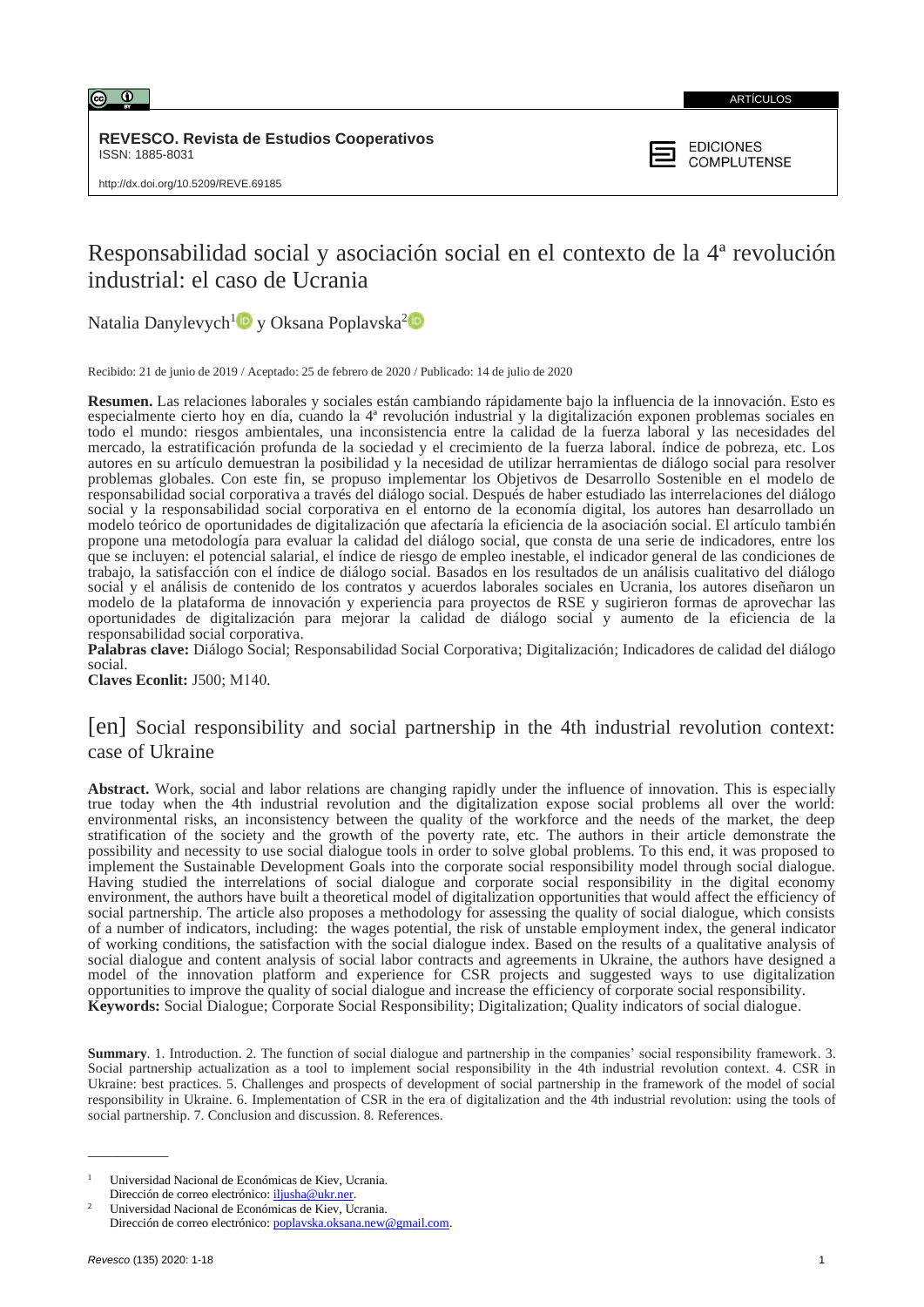

ARTÍCULOS

**REVESCO. Revista de Estudios Cooperativos** ISSN: 1885-8031



# Responsabilidad social y asociación social en el contexto de la 4ª revolución industrial: el caso de Ucrania

Natalia Danylevych<sup>[1](https://orcid.org/0000-0002-2321-0487)</sup> $\bullet$  y Oksana Poplavska<sup>[2](https://orcid.org/0000-0001-9538-3718)</sup>

Recibido: 21 de junio de 2019 / Aceptado: 25 de febrero de 2020 / Publicado: 14 de julio de 2020

**Resumen.** Las relaciones laborales y sociales están cambiando rápidamente bajo la influencia de la innovación. Esto es especialmente cierto hoy en día, cuando la 4ª revolución industrial y la digitalización exponen problemas sociales en todo el mundo: riesgos ambientales, una inconsistencia entre la calidad de la fuerza laboral y las necesidades del mercado, la estratificación profunda de la sociedad y el crecimiento de la fuerza laboral. índice de pobreza, etc. Los autores en su artículo demuestran la posibilidad y la necesidad de utilizar herramientas de diálogo social para resolver problemas globales. Con este fin, se propuso implementar los Objetivos de Desarrollo Sostenible en el modelo de responsabilidad social corporativa a través del diálogo social. Después de haber estudiado las interrelaciones del diálogo social y la responsabilidad social corporativa en el entorno de la economía digital, los autores han desarrollado un modelo teórico de oportunidades de digitalización que afectaría la eficiencia de la asociación social. El artículo también propone una metodología para evaluar la calidad del diálogo social, que consta de una serie de indicadores, entre los que se incluyen: el potencial salarial, el índice de riesgo de empleo inestable, el indicador general de las condiciones de trabajo, la satisfacción con el índice de diálogo social. Basados en los resultados de un análisis cualitativo del diálogo social y el análisis de contenido de los contratos y acuerdos laborales sociales en Ucrania, los autores diseñaron un modelo de la plataforma de innovación y experiencia para proyectos de RSE y sugirieron formas de aprovechar las oportunidades de digitalización para mejorar la calidad de diálogo social y aumento de la eficiencia de la responsabilidad social corporativa.

**Palabras clave:** Diálogo Social; Responsabilidad Social Corporativa; Digitalización; Indicadores de calidad del diálogo social.

**Claves Econlit:** J500; М140*.*

## [en] Social responsibility and social partnership in the 4th industrial revolution context: case of Ukraine

**Abstract.** Work, social and labor relations are changing rapidly under the influence of innovation. This is especially true today when the 4th industrial revolution and the digitalization expose social problems all over the world: environmental risks, an inconsistency between the quality of the workforce and the needs of the market, the deep stratification of the society and the growth of the poverty rate, etc. The authors in their article demonstrate the possibility and necessity to use social dialogue tools in order to solve global problems. To this end, it was proposed to implement the Sustainable Development Goals into the corporate social responsibility model through social dialogue. Having studied the interrelations of social dialogue and corporate social responsibility in the digital economy environment, the authors have built a theoretical model of digitalization opportunities that would affect the efficiency of social partnership. The article also proposes a methodology for assessing the quality of social dialogue, which consists of a number of indicators, including: the wages potential, the risk of unstable employment index, the general indicator of working conditions, the satisfaction with the social dialogue index. Based on the results of a qualitative analysis of social dialogue and content analysis of social labor contracts and agreements in Ukraine, the authors have designed a model of the innovation platform and experience for CSR projects and suggested ways to use digitalization opportunities to improve the quality of social dialogue and increase the efficiency of corporate social responsibility. **Keywords:** Social Dialogue; Corporate Social Responsibility; Digitalization; Quality indicators of social dialogue.

**Summary**. 1. Introduction. 2. The function of social dialogue and partnership in the companies' social responsibility framework. 3. Social partnership actualization as a tool to implement social responsibility in the 4th industrial revolution context. 4. CSR in Ukraine: best practices. 5. Challenges and prospects of development of social partnership in the framework of the model of social responsibility in Ukraine. 6. Implementation of CSR in the era of digitalization and the 4th industrial revolution: using the tools of social partnership. 7. Conclusion and discussion. 8. References.

 $\overline{\phantom{a}}$ 

<sup>1</sup> Universidad Nacional de Económicas de Kiev, Ucrania. Dirección de correo electrónico: [iljusha@ukr.ner.](mailto:iljusha@ukr.ner)

<sup>2</sup> Universidad Nacional de Económicas de Kiev, Ucrania. Dirección de correo electrónico[: poplavska.oksana.new@gmail.com.](mailto:poplavska.oksana.new@gmail.com)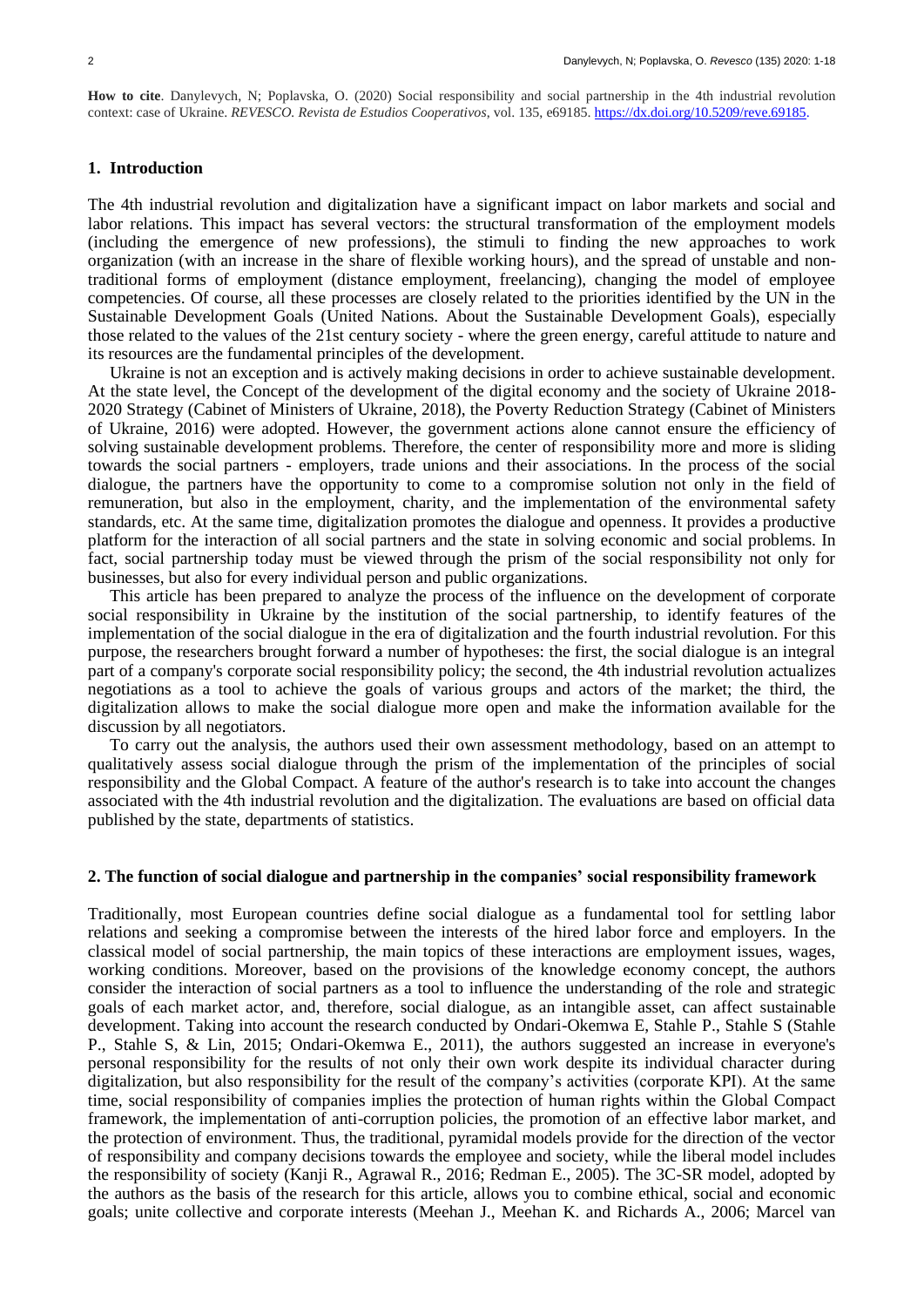**How to cite**. Danylevych, N; Poplavska, O. (2020) Social responsibility and social partnership in the 4th industrial revolution context: case of Ukraine. *REVESCO. Revista de Estudios Cooperativos*, vol. 135, e69185.<https://dx.doi.org/10.5209/reve.69185.>

#### **1. Introduction**

The 4th industrial revolution and digitalization have a significant impact on labor markets and social and labor relations. This impact has several vectors: the structural transformation of the employment models (including the emergence of new professions), the stimuli to finding the new approaches to work organization (with an increase in the share of flexible working hours), and the spread of unstable and nontraditional forms of employment (distance employment, freelancing), changing the model of employee competencies. Of course, all these processes are closely related to the priorities identified by the UN in the Sustainable Development Goals (United Nations. About the Sustainable Development Goals), especially those related to the values of the 21st century society - where the green energy, careful attitude to nature and its resources are the fundamental principles of the development.

Ukraine is not an exception and is actively making decisions in order to achieve sustainable development. At the state level, the Concept of the development of the digital economy and the society of Ukraine 2018- 2020 Strategy (Cabinet of Ministers of Ukraine, 2018), the Poverty Reduction Strategy (Cabinet of Ministers of Ukraine, 2016) were adopted. However, the government actions alone cannot ensure the efficiency of solving sustainable development problems. Therefore, the center of responsibility more and more is sliding towards the social partners - employers, trade unions and their associations. In the process of the social dialogue, the partners have the opportunity to come to a compromise solution not only in the field of remuneration, but also in the employment, charity, and the implementation of the environmental safety standards, etc. At the same time, digitalization promotes the dialogue and openness. It provides a productive platform for the interaction of all social partners and the state in solving economic and social problems. In fact, social partnership today must be viewed through the prism of the social responsibility not only for businesses, but also for every individual person and public organizations.

This article has been prepared to analyze the process of the influence on the development of corporate social responsibility in Ukraine by the institution of the social partnership, to identify features of the implementation of the social dialogue in the era of digitalization and the fourth industrial revolution. For this purpose, the researchers brought forward a number of hypotheses: the first, the social dialogue is an integral part of a company's corporate social responsibility policy; the second, the 4th industrial revolution actualizes negotiations as a tool to achieve the goals of various groups and actors of the market; the third, the digitalization allows to make the social dialogue more open and make the information available for the discussion by all negotiators.

To carry out the analysis, the authors used their own assessment methodology, based on an attempt to qualitatively assess social dialogue through the prism of the implementation of the principles of social responsibility and the Global Compact. A feature of the author's research is to take into account the changes associated with the 4th industrial revolution and the digitalization. The evaluations are based on official data published by the state, departments of statistics.

#### **2. The function of social dialogue and partnership in the companies' social responsibility framework**

Traditionally, most European countries define social dialogue as a fundamental tool for settling labor relations and seeking a compromise between the interests of the hired labor force and employers. In the classical model of social partnership, the main topics of these interactions are employment issues, wages, working conditions. Moreover, based on the provisions of the knowledge economy concept, the authors consider the interaction of social partners as a tool to influence the understanding of the role and strategic goals of each market actor, and, therefore, social dialogue, as an intangible asset, can affect sustainable development. Taking into account the research conducted by Ondari-Okemwa E, Stahle P., Stahle S (Stahle P., Stahle S, & Lin, 2015; Ondari-Okemwa E., 2011), the authors suggested an increase in everyone's personal responsibility for the results of not only their own work despite its individual character during digitalization, but also responsibility for the result of the company's activities (corporate KPI). At the same time, social responsibility of companies implies the protection of human rights within the Global Compact framework, the implementation of anti-corruption policies, the promotion of an effective labor market, and the protection of environment. Thus, the traditional, pyramidal models provide for the direction of the vector of responsibility and company decisions towards the employee and society, while the liberal model includes the responsibility of society (Kanji R., Agrawal R., 2016; Redman E., 2005). The 3C-SR model, adopted by the authors as the basis of the research for this article, allows you to combine ethical, social and economic goals; unite collective and corporate interests (Meehan J., Meehan K. and Richards A., 2006; Marcel van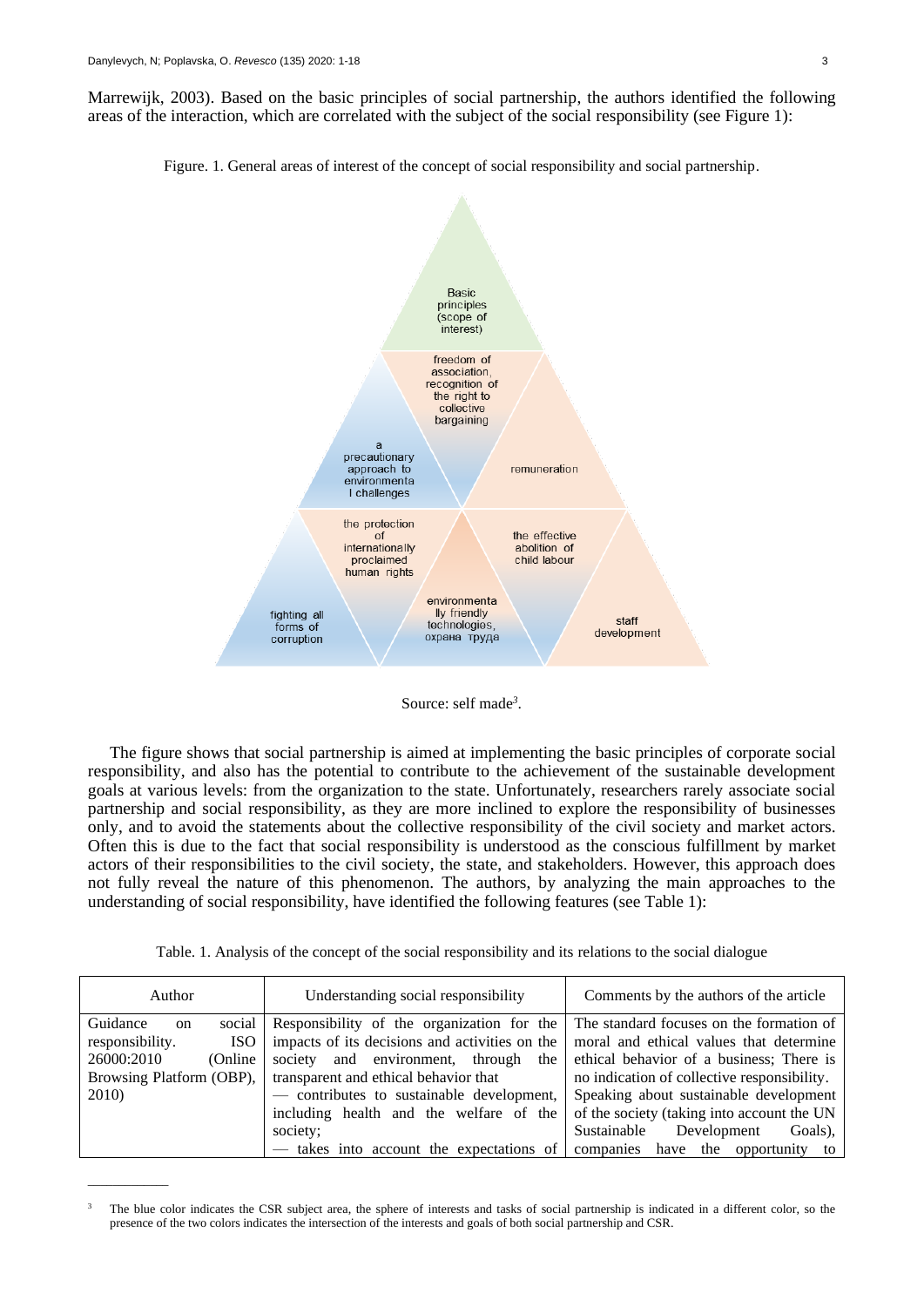\_\_\_\_\_\_\_\_\_\_\_\_\_

Marrewijk, 2003). Based on the basic principles of social partnership, the authors identified the following areas of the interaction, which are correlated with the subject of the social responsibility (see Figure 1):

Figure. 1. General areas of interest of the concept of social responsibility and social partnership.



Source: self made*<sup>3</sup>* .

The figure shows that social partnership is aimed at implementing the basic principles of corporate social responsibility, and also has the potential to contribute to the achievement of the sustainable development goals at various levels: from the organization to the state. Unfortunately, researchers rarely associate social partnership and social responsibility, as they are more inclined to explore the responsibility of businesses only, and to avoid the statements about the collective responsibility of the civil society and market actors. Often this is due to the fact that social responsibility is understood as the conscious fulfillment by market actors of their responsibilities to the civil society, the state, and stakeholders. However, this approach does not fully reveal the nature of this phenomenon. The authors, by analyzing the main approaches to the understanding of social responsibility, have identified the following features (see Table 1):

Table. 1. Analysis of the concept of the social responsibility and its relations to the social dialogue

| Author                                | Understanding social responsibility            | Comments by the authors of the article      |  |  |  |
|---------------------------------------|------------------------------------------------|---------------------------------------------|--|--|--|
| Guidance<br>social l<br><sub>on</sub> | Responsibility of the organization for the     | The standard focuses on the formation of    |  |  |  |
| responsibility.<br>ISO.               | impacts of its decisions and activities on the | moral and ethical values that determine     |  |  |  |
| 26000:2010<br>(Online)                | society and environment, through the           | ethical behavior of a business; There is    |  |  |  |
| Browsing Platform (OBP),              | transparent and ethical behavior that          | no indication of collective responsibility. |  |  |  |
| 2010)                                 | - contributes to sustainable development,      | Speaking about sustainable development      |  |  |  |
|                                       | including health and the welfare of the        | of the society (taking into account the UN  |  |  |  |
|                                       | society;                                       | Sustainable<br>Development<br>Goals).       |  |  |  |
|                                       | — takes into account the expectations of       | companies have the opportunity to           |  |  |  |

The blue color indicates the CSR subject area, the sphere of interests and tasks of social partnership is indicated in a different color, so the presence of the two colors indicates the intersection of the interests and goals of both social partnership and CSR.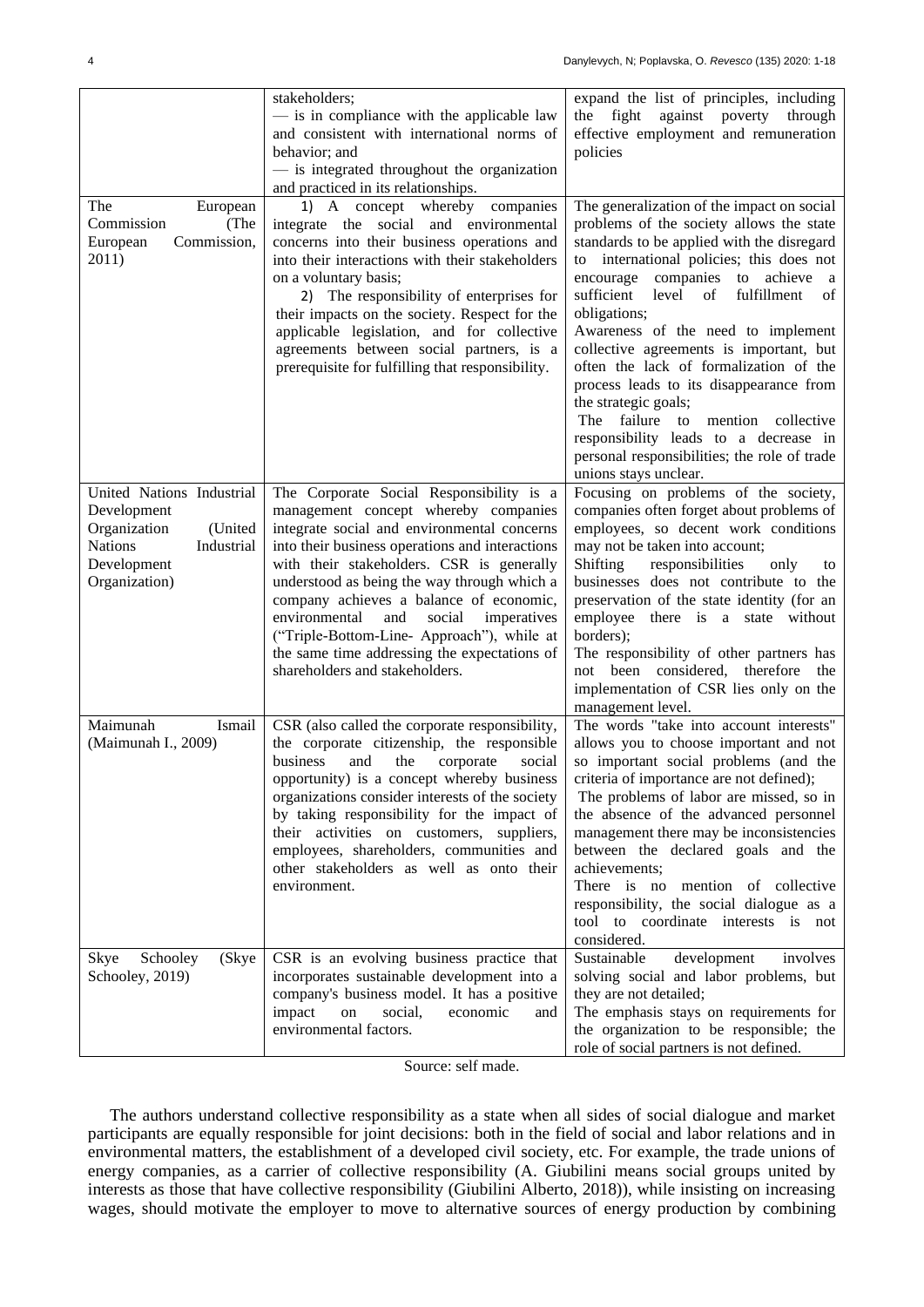|                                                                                                                                     | stakeholders;<br>- is in compliance with the applicable law<br>and consistent with international norms of<br>behavior; and<br>- is integrated throughout the organization<br>and practiced in its relationships.                                                                                                                                                                                                                                                                                           | expand the list of principles, including<br>the fight against poverty through<br>effective employment and remuneration<br>policies                                                                                                                                                                                                                                                                                                                                                                                                                                                                                                          |
|-------------------------------------------------------------------------------------------------------------------------------------|------------------------------------------------------------------------------------------------------------------------------------------------------------------------------------------------------------------------------------------------------------------------------------------------------------------------------------------------------------------------------------------------------------------------------------------------------------------------------------------------------------|---------------------------------------------------------------------------------------------------------------------------------------------------------------------------------------------------------------------------------------------------------------------------------------------------------------------------------------------------------------------------------------------------------------------------------------------------------------------------------------------------------------------------------------------------------------------------------------------------------------------------------------------|
| The<br>European<br>Commission<br>(The<br>Commission,<br>European<br>2011)                                                           | 1) A concept whereby companies<br>integrate the social and environmental<br>concerns into their business operations and<br>into their interactions with their stakeholders<br>on a voluntary basis;<br>2) The responsibility of enterprises for<br>their impacts on the society. Respect for the<br>applicable legislation, and for collective<br>agreements between social partners, is a<br>prerequisite for fulfilling that responsibility.                                                             | The generalization of the impact on social<br>problems of the society allows the state<br>standards to be applied with the disregard<br>to international policies; this does not<br>encourage companies to achieve a<br>sufficient level of<br>fulfillment<br>of<br>obligations;<br>Awareness of the need to implement<br>collective agreements is important, but<br>often the lack of formalization of the<br>process leads to its disappearance from<br>the strategic goals;<br>failure<br>The<br>to mention collective<br>responsibility leads to a decrease in<br>personal responsibilities; the role of trade<br>unions stays unclear. |
| United Nations Industrial<br>Development<br>(United<br>Organization<br><b>Nations</b><br>Industrial<br>Development<br>Organization) | The Corporate Social Responsibility is a<br>management concept whereby companies<br>integrate social and environmental concerns<br>into their business operations and interactions<br>with their stakeholders. CSR is generally<br>understood as being the way through which a<br>company achieves a balance of economic,<br>environmental<br>and<br>social<br>imperatives<br>("Triple-Bottom-Line- Approach"), while at<br>the same time addressing the expectations of<br>shareholders and stakeholders. | Focusing on problems of the society,<br>companies often forget about problems of<br>employees, so decent work conditions<br>may not be taken into account;<br>Shifting<br>responsibilities<br>only<br>to<br>businesses does not contribute to the<br>preservation of the state identity (for an<br>employee there is a state without<br>borders);<br>The responsibility of other partners has<br>not been considered, therefore the<br>implementation of CSR lies only on the<br>management level.                                                                                                                                          |
| Maimunah<br>Ismail<br>(Maimunah I., 2009)                                                                                           | CSR (also called the corporate responsibility,<br>the corporate citizenship, the responsible<br>business<br>and<br>the corporate<br>social<br>opportunity) is a concept whereby business<br>organizations consider interests of the society<br>by taking responsibility for the impact of<br>their activities on customers, suppliers,<br>employees, shareholders, communities and<br>other stakeholders as well as onto their<br>environment.                                                             | The words "take into account interests"<br>allows you to choose important and not<br>so important social problems (and the<br>criteria of importance are not defined);<br>The problems of labor are missed, so in<br>the absence of the advanced personnel<br>management there may be inconsistencies<br>between the declared goals and the<br>achievements;<br>There is no mention of collective<br>responsibility, the social dialogue as a<br>tool to coordinate interests is not<br>considered.                                                                                                                                         |
| Schooley<br>(Skye<br>Skye<br>Schooley, 2019)                                                                                        | CSR is an evolving business practice that<br>incorporates sustainable development into a<br>company's business model. It has a positive<br>impact<br>social,<br>on<br>economic<br>and<br>environmental factors.                                                                                                                                                                                                                                                                                            | development<br>Sustainable<br>involves<br>solving social and labor problems, but<br>they are not detailed;<br>The emphasis stays on requirements for<br>the organization to be responsible; the<br>role of social partners is not defined.                                                                                                                                                                                                                                                                                                                                                                                                  |

Source: self made.

The authors understand collective responsibility as a state when all sides of social dialogue and market participants are equally responsible for joint decisions: both in the field of social and labor relations and in environmental matters, the establishment of a developed civil society, etc. For example, the trade unions of energy companies, as a carrier of collective responsibility (A. Giubilini means social groups united by interests as those that have collective responsibility (Giubilini Alberto, 2018)), while insisting on increasing wages, should motivate the employer to move to alternative sources of energy production by combining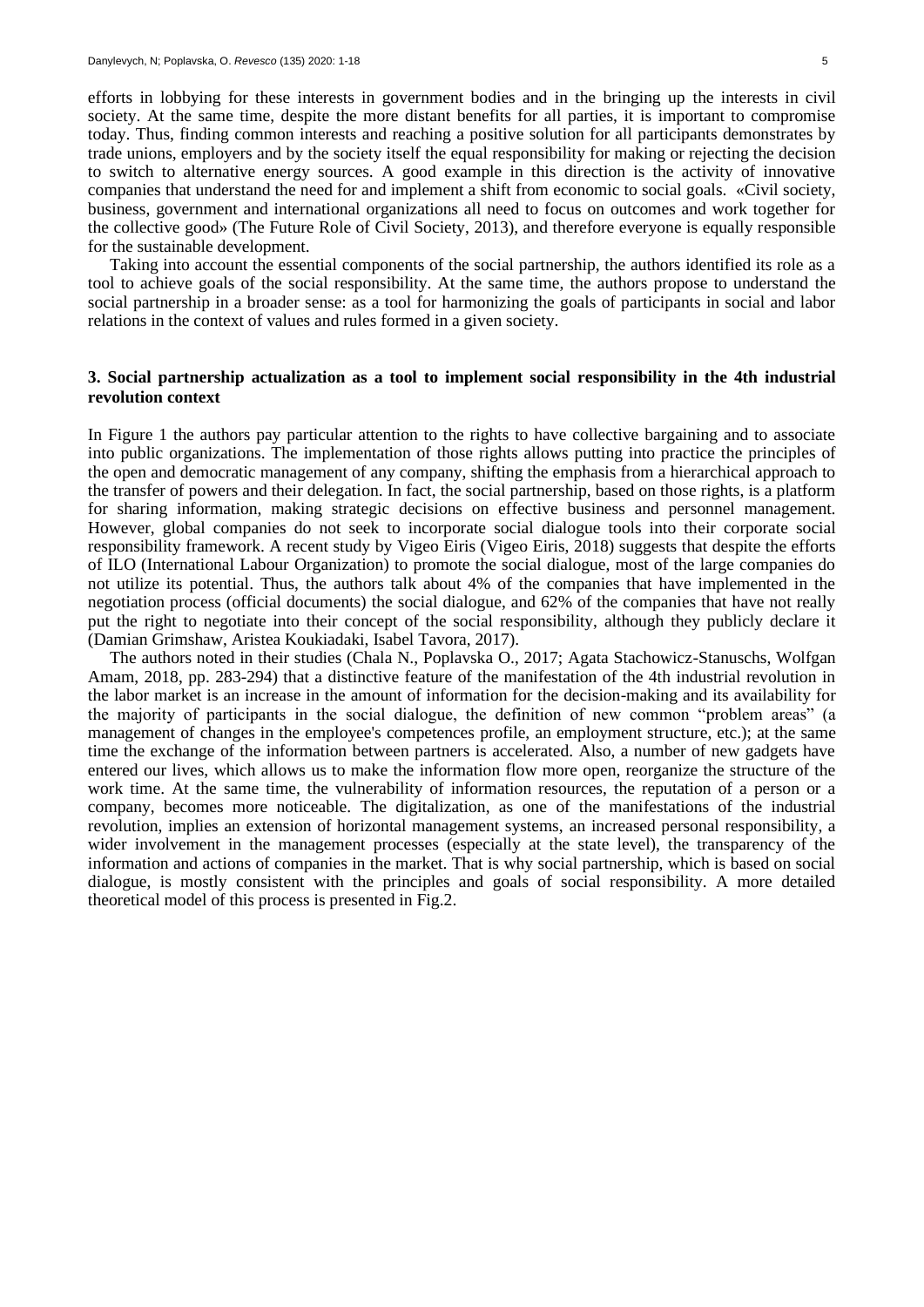efforts in lobbying for these interests in government bodies and in the bringing up the interests in civil society. At the same time, despite the more distant benefits for all parties, it is important to compromise today. Thus, finding common interests and reaching a positive solution for all participants demonstrates by trade unions, employers and by the society itself the equal responsibility for making or rejecting the decision to switch to alternative energy sources. A good example in this direction is the activity of innovative companies that understand the need for and implement a shift from economic to social goals. «Civil society, business, government and international organizations all need to focus on outcomes and work together for the collective good» (The Future Role of Civil Society, 2013), and therefore everyone is equally responsible for the sustainable development.

Taking into account the essential components of the social partnership, the authors identified its role as a tool to achieve goals of the social responsibility. At the same time, the authors propose to understand the social partnership in a broader sense: as a tool for harmonizing the goals of participants in social and labor relations in the context of values and rules formed in a given society.

#### **3. Social partnership actualization as a tool to implement social responsibility in the 4th industrial revolution context**

In Figure 1 the authors pay particular attention to the rights to have collective bargaining and to associate into public organizations. The implementation of those rights allows putting into practice the principles of the open and democratic management of any company, shifting the emphasis from a hierarchical approach to the transfer of powers and their delegation. In fact, the social partnership, based on those rights, is a platform for sharing information, making strategic decisions on effective business and personnel management. However, global companies do not seek to incorporate social dialogue tools into their corporate social responsibility framework. A recent study by Vigeo Eiris (Vigeo Eiris, 2018) suggests that despite the efforts of ILO (International Labour Organization) to promote the social dialogue, most of the large companies do not utilize its potential. Thus, the authors talk about 4% of the companies that have implemented in the negotiation process (official documents) the social dialogue, and 62% of the companies that have not really put the right to negotiate into their concept of the social responsibility, although they publicly declare it (Damian Grimshaw, Aristea Koukiadaki, Isabel Tavora, 2017).

The authors noted in their studies (Chala N., Poplavska O., 2017; Agata Stachowicz-Stanuschs, Wolfgan Amam, 2018, pp. 283-294) that a distinctive feature of the manifestation of the 4th industrial revolution in the labor market is an increase in the amount of information for the decision-making and its availability for the majority of participants in the social dialogue, the definition of new common "problem areas" (a management of changes in the employee's competences profile, an employment structure, etc.); at the same time the exchange of the information between partners is accelerated. Also, a number of new gadgets have entered our lives, which allows us to make the information flow more open, reorganize the structure of the work time. At the same time, the vulnerability of information resources, the reputation of a person or a company, becomes more noticeable. The digitalization, as one of the manifestations of the industrial revolution, implies an extension of horizontal management systems, an increased personal responsibility, a wider involvement in the management processes (especially at the state level), the transparency of the information and actions of companies in the market. That is why social partnership, which is based on social dialogue, is mostly consistent with the principles and goals of social responsibility. A more detailed theoretical model of this process is presented in Fig.2.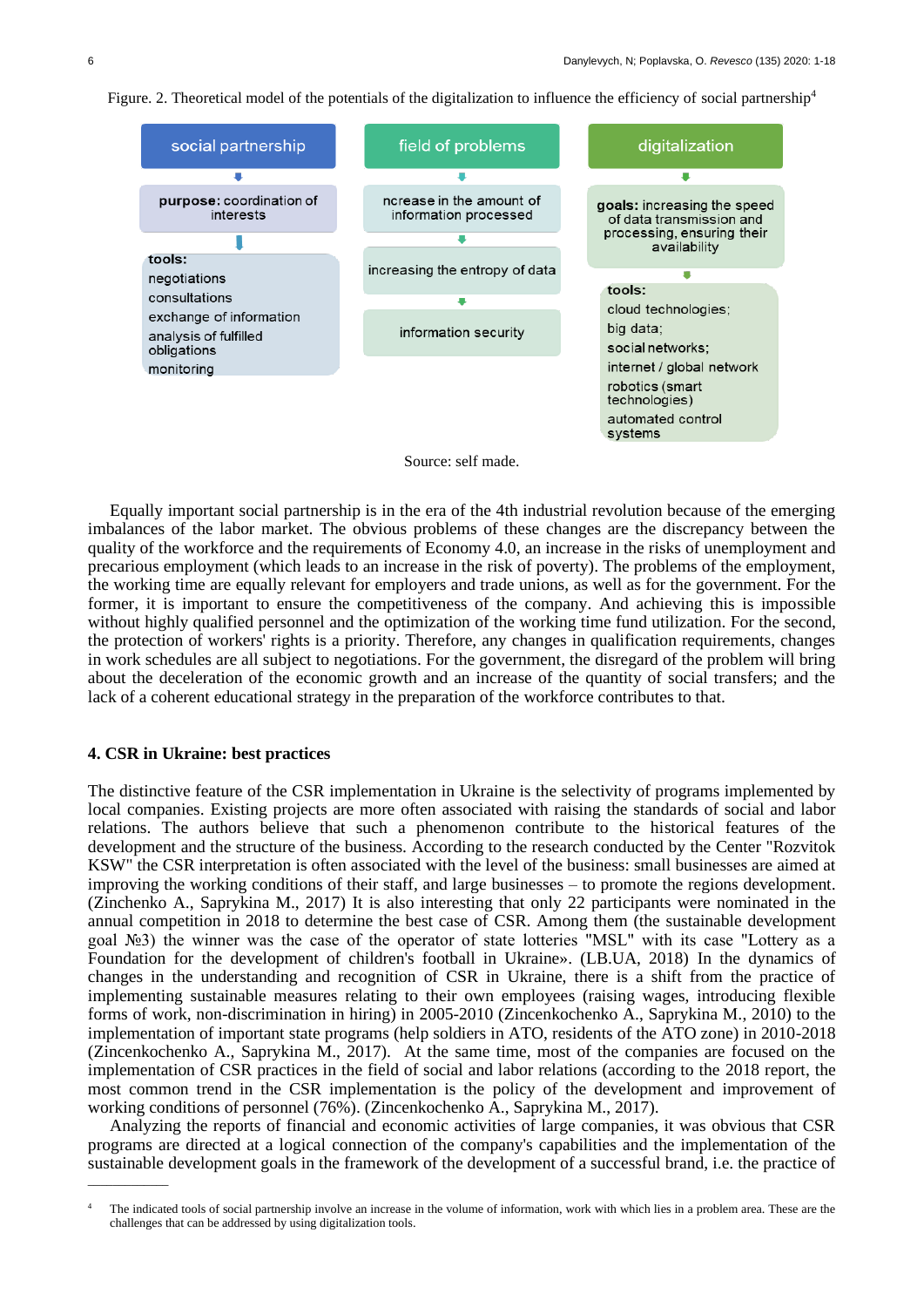



Source: self made.

Equally important social partnership is in the era of the 4th industrial revolution because of the emerging imbalances of the labor market. The obvious problems of these changes are the discrepancy between the quality of the workforce and the requirements of Economy 4.0, an increase in the risks of unemployment and precarious employment (which leads to an increase in the risk of poverty). The problems of the employment, the working time are equally relevant for employers and trade unions, as well as for the government. For the former, it is important to ensure the competitiveness of the company. And achieving this is impossible without highly qualified personnel and the optimization of the working time fund utilization. For the second, the protection of workers' rights is a priority. Therefore, any changes in qualification requirements, changes in work schedules are all subject to negotiations. For the government, the disregard of the problem will bring about the deceleration of the economic growth and an increase of the quantity of social transfers; and the lack of a coherent educational strategy in the preparation of the workforce contributes to that.

#### **4. CSR in Ukraine: best practices**

\_\_\_\_\_\_\_\_\_\_\_\_\_

The distinctive feature of the CSR implementation in Ukraine is the selectivity of programs implemented by local companies. Existing projects are more often associated with raising the standards of social and labor relations. The authors believe that such a phenomenon contribute to the historical features of the development and the structure of the business. According to the research conducted by the Center "Rozvitok KSW" the CSR interpretation is often associated with the level of the business: small businesses are aimed at improving the working conditions of their staff, and large businesses – to promote the regions development. (Zinchenko A., Saprykina M., 2017) It is also interesting that only 22 participants were nominated in the annual competition in 2018 to determine the best case of CSR. Among them (the sustainable development goal №3) the winner was the case of the operator of state lotteries "MSL" with its case "Lottery as a Foundation for the development of children's football in Ukraine». (LB.UA, 2018) In the dynamics of changes in the understanding and recognition of CSR in Ukraine, there is a shift from the practice of implementing sustainable measures relating to their own employees (raising wages, introducing flexible forms of work, non-discrimination in hiring) in 2005-2010 (Zincenkochenko A., Saprykina M., 2010) to the implementation of important state programs (help soldiers in ATO, residents of the ATO zone) in 2010-2018 (Zincenkochenko A., Saprykina M., 2017). At the same time, most of the companies are focused on the implementation of CSR practices in the field of social and labor relations (according to the 2018 report, the most common trend in the CSR implementation is the policy of the development and improvement of working conditions of personnel (76%). (Zincenkochenko A., Saprykina M., 2017).

Analyzing the reports of financial and economic activities of large companies, it was obvious that CSR programs are directed at a logical connection of the company's capabilities and the implementation of the sustainable development goals in the framework of the development of a successful brand, i.e. the practice of

The indicated tools of social partnership involve an increase in the volume of information, work with which lies in a problem area. These are the challenges that can be addressed by using digitalization tools.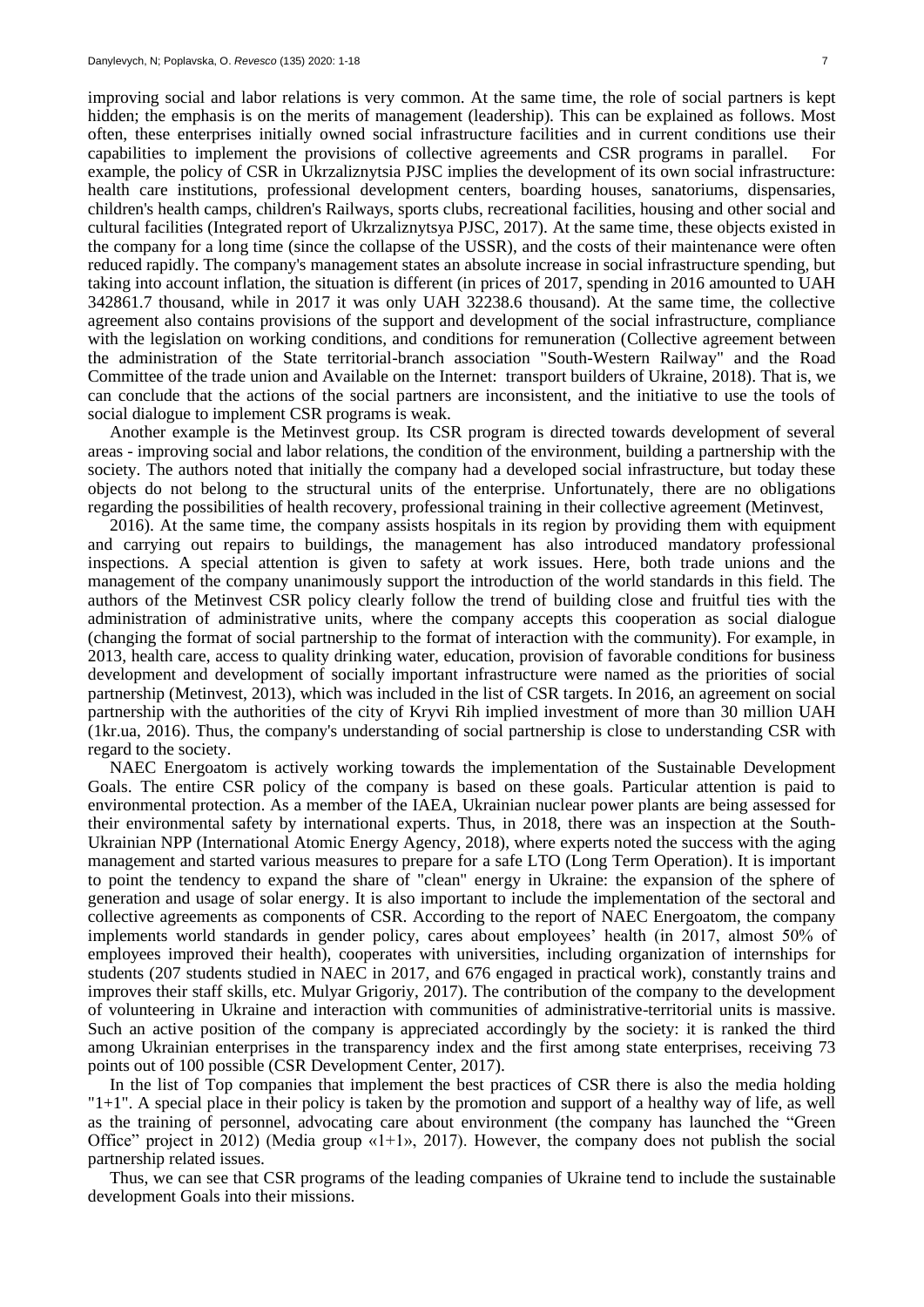improving social and labor relations is very common. At the same time, the role of social partners is kept hidden; the emphasis is on the merits of management (leadership). This can be explained as follows. Most often, these enterprises initially owned social infrastructure facilities and in current conditions use their capabilities to implement the provisions of collective agreements and CSR programs in parallel. For example, the policy of CSR in Ukrzaliznytsia PJSC implies the development of its own social infrastructure: health care institutions, professional development centers, boarding houses, sanatoriums, dispensaries, children's health camps, children's Railways, sports clubs, recreational facilities, housing and other social and cultural facilities (Integrated report of Ukrzaliznytsya PJSC, 2017). At the same time, these objects existed in the company for a long time (since the collapse of the USSR), and the costs of their maintenance were often reduced rapidly. The company's management states an absolute increase in social infrastructure spending, but taking into account inflation, the situation is different (in prices of 2017, spending in 2016 amounted to UAH 342861.7 thousand, while in 2017 it was only UAH 32238.6 thousand). At the same time, the collective agreement also contains provisions of the support and development of the social infrastructure, compliance with the legislation on working conditions, and conditions for remuneration (Collective agreement between the administration of the State territorial-branch association "South-Western Railway" and the Road Committee of the trade union and Available on the Internet: transport builders of Ukraine, 2018). That is, we can conclude that the actions of the social partners are inconsistent, and the initiative to use the tools of social dialogue to implement CSR programs is weak.

Another example is the Metinvest group. Its CSR program is directed towards development of several areas - improving social and labor relations, the condition of the environment, building a partnership with the society. The authors noted that initially the company had a developed social infrastructure, but today these objects do not belong to the structural units of the enterprise. Unfortunately, there are no obligations regarding the possibilities of health recovery, professional training in their collective agreement (Metinvest,

2016). At the same time, the company assists hospitals in its region by providing them with equipment and carrying out repairs to buildings, the management has also introduced mandatory professional inspections. A special attention is given to safety at work issues. Here, both trade unions and the management of the company unanimously support the introduction of the world standards in this field. The authors of the Metinvest CSR policy clearly follow the trend of building close and fruitful ties with the administration of administrative units, where the company accepts this cooperation as social dialogue (changing the format of social partnership to the format of interaction with the community). For example, in 2013, health care, access to quality drinking water, education, provision of favorable conditions for business development and development of socially important infrastructure were named as the priorities of social partnership (Metinvest, 2013), which was included in the list of CSR targets. In 2016, an agreement on social partnership with the authorities of the city of Kryvi Rih implied investment of more than 30 million UAH (1kr.ua, 2016). Thus, the company's understanding of social partnership is close to understanding CSR with regard to the society.

NAEC Energoatom is actively working towards the implementation of the Sustainable Development Goals. The entire CSR policy of the company is based on these goals. Particular attention is paid to environmental protection. As a member of the IAEA, Ukrainian nuclear power plants are being assessed for their environmental safety by international experts. Thus, in 2018, there was an inspection at the South-Ukrainian NPP (International Atomic Energy Agency, 2018), where experts noted the success with the aging management and started various measures to prepare for a safe LTO (Long Term Operation). It is important to point the tendency to expand the share of "clean" energy in Ukraine: the expansion of the sphere of generation and usage of solar energy. It is also important to include the implementation of the sectoral and collective agreements as components of CSR. According to the report of NAEC Energoatom, the company implements world standards in gender policy, cares about employees' health (in 2017, almost 50% of employees improved their health), cooperates with universities, including organization of internships for students (207 students studied in NAEC in 2017, and 676 engaged in practical work), constantly trains and improves their staff skills, etc. Mulyar Grigoriy, 2017). The contribution of the company to the development of volunteering in Ukraine and interaction with communities of administrative-territorial units is massive. Such an active position of the company is appreciated accordingly by the society: it is ranked the third among Ukrainian enterprises in the transparency index and the first among state enterprises, receiving 73 points out of 100 possible (CSR Development Center, 2017).

In the list of Top companies that implement the best practices of CSR there is also the media holding "1+1". A special place in their policy is taken by the promotion and support of a healthy way of life, as well as the training of personnel, advocating care about environment (the company has launched the "Green Office" project in 2012) (Media group  $\alpha$ 1+1», 2017). However, the company does not publish the social partnership related issues.

Thus, we can see that CSR programs of the leading companies of Ukraine tend to include the sustainable development Goals into their missions.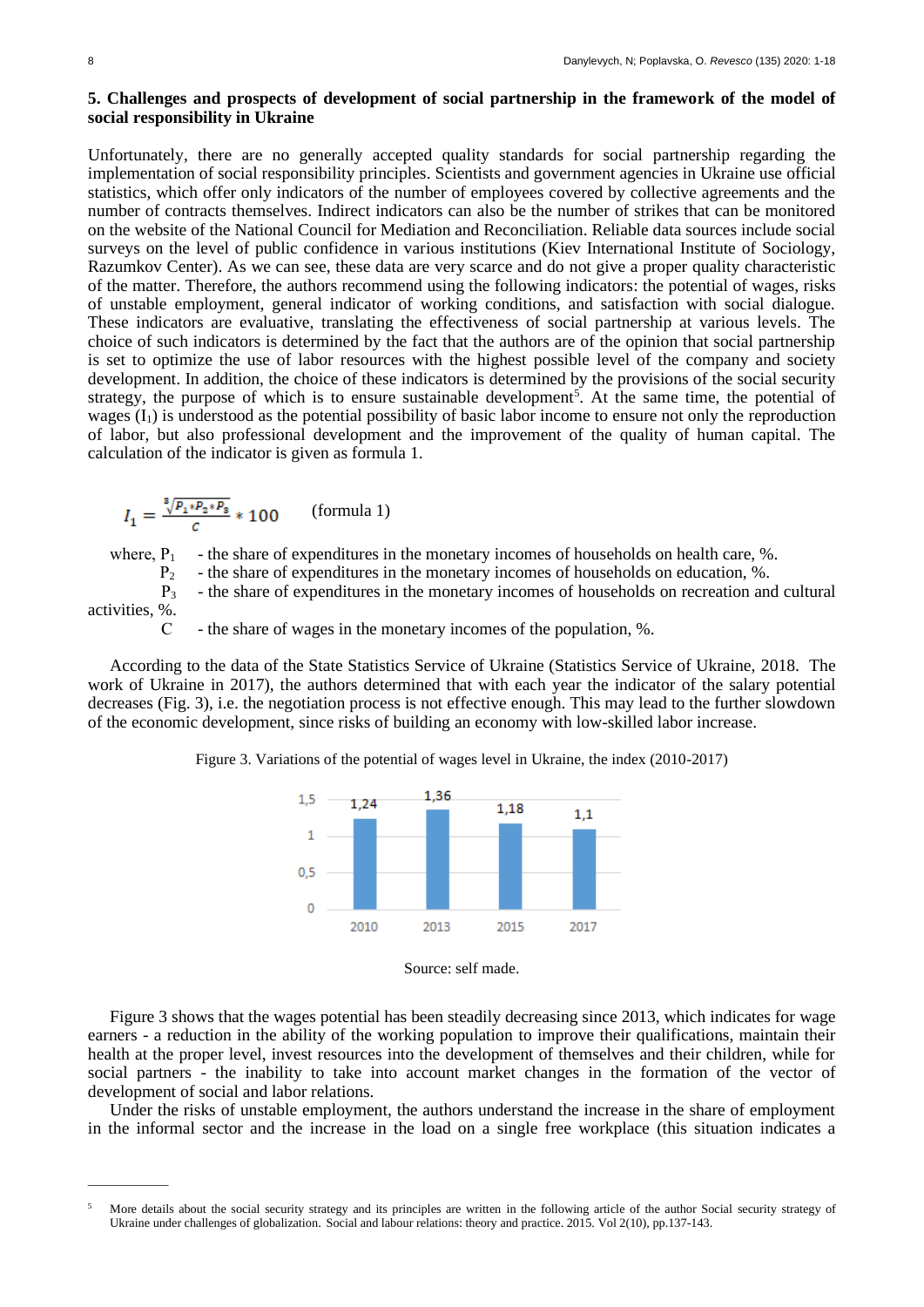## **5. Challenges and prospects of development of social partnership in the framework of the model of social responsibility in Ukraine**

Unfortunately, there are no generally accepted quality standards for social partnership regarding the implementation of social responsibility principles. Scientists and government agencies in Ukraine use official statistics, which offer only indicators of the number of employees covered by collective agreements and the number of contracts themselves. Indirect indicators can also be the number of strikes that can be monitored on the website of the National Council for Mediation and Reconciliation. Reliable data sources include social surveys on the level of public confidence in various institutions (Kiev International Institute of Sociology, Razumkov Center). As we can see, these data are very scarce and do not give a proper quality characteristic of the matter. Therefore, the authors recommend using the following indicators: the potential of wages, risks of unstable employment, general indicator of working conditions, and satisfaction with social dialogue. These indicators are evaluative, translating the effectiveness of social partnership at various levels. The choice of such indicators is determined by the fact that the authors are of the opinion that social partnership is set to optimize the use of labor resources with the highest possible level of the company and society development. In addition, the choice of these indicators is determined by the provisions of the social security strategy, the purpose of which is to ensure sustainable development<sup>5</sup>. At the same time, the potential of wages  $(I_1)$  is understood as the potential possibility of basic labor income to ensure not only the reproduction of labor, but also professional development and the improvement of the quality of human capital. The calculation of the indicator is given as formula 1.

$$
I_1 = \frac{\sqrt[8]{p_1 * p_2 * p_3}}{c} * 100
$$
 (formula 1)

\_\_\_\_\_\_\_\_\_\_\_\_\_

where,  $P_1$  - the share of expenditures in the monetary incomes of households on health care, %.

 $P_2$  - the share of expenditures in the monetary incomes of households on education, %.

 $P_3$  - the share of expenditures in the monetary incomes of households on recreation and cultural activities, %.

С - the share of wages in the monetary incomes of the population, %.

According to the data of the State Statistics Service of Ukraine (Statistics Service of Ukraine, 2018. The work of Ukraine in 2017), the authors determined that with each year the indicator of the salary potential decreases (Fig. 3), i.e. the negotiation process is not effective enough. This may lead to the further slowdown of the economic development, since risks of building an economy with low-skilled labor increase.

Figure 3. Variations of the potential of wages level in Ukraine, the index (2010-2017)



Source: self made.

Figure 3 shows that the wages potential has been steadily decreasing since 2013, which indicates for wage earners - a reduction in the ability of the working population to improve their qualifications, maintain their health at the proper level, invest resources into the development of themselves and their children, while for social partners - the inability to take into account market changes in the formation of the vector of development of social and labor relations.

Under the risks of unstable employment, the authors understand the increase in the share of employment in the informal sector and the increase in the load on a single free workplace (this situation indicates a

<sup>5</sup> More details about the social security strategy and its principles are written in the following article of the author Social security strategy of Ukraine under challenges of globalization. Social and labour relations: theory and practice. 2015. Vol 2(10), pp.137-143.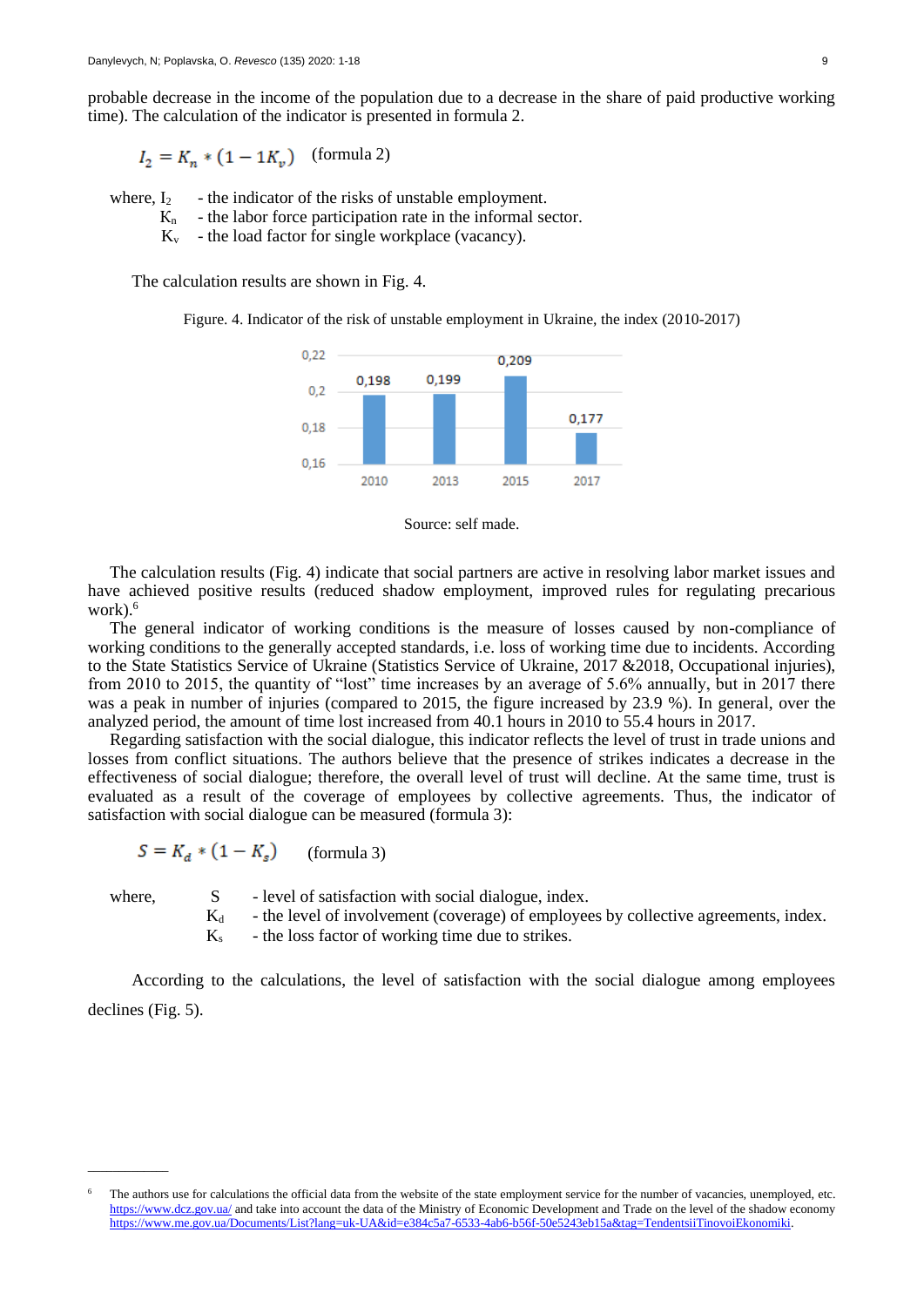probable decrease in the income of the population due to a decrease in the share of paid productive working time). The calculation of the indicator is presented in formula 2.

 $I_2 = K_n * (1 - 1K_v)$  (formula 2)

where,  $I_2$  - the indicator of the risks of unstable employment.

- $K_n$  the labor force participation rate in the informal sector.
- $K_v$  the load factor for single workplace (vacancy).

The calculation results are shown in Fig. 4.

Figure. 4. Indicator of the risk of unstable employment in Ukraine, the index (2010-2017)



Source: self made.

The calculation results (Fig. 4) indicate that social partners are active in resolving labor market issues and have achieved positive results (reduced shadow employment, improved rules for regulating precarious work).<sup>6</sup>

The general indicator of working conditions is the measure of losses caused by non-compliance of working conditions to the generally accepted standards, i.e. loss of working time due to incidents. According to the State Statistics Service of Ukraine (Statistics Service of Ukraine, 2017 &2018, Occupational injuries), from 2010 to 2015, the quantity of "lost" time increases by an average of 5.6% annually, but in 2017 there was a peak in number of injuries (compared to 2015, the figure increased by 23.9 %). In general, over the analyzed period, the amount of time lost increased from 40.1 hours in 2010 to 55.4 hours in 2017.

Regarding satisfaction with the social dialogue, this indicator reflects the level of trust in trade unions and losses from conflict situations. The authors believe that the presence of strikes indicates a decrease in the effectiveness of social dialogue; therefore, the overall level of trust will decline. At the same time, trust is evaluated as a result of the coverage of employees by collective agreements. Thus, the indicator of satisfaction with social dialogue can be measured (formula 3):

$$
S = K_d * (1 - K_s) \qquad \text{(formula 3)}
$$

\_\_\_\_\_\_\_\_\_\_\_\_\_

where, S - level of satisfaction with social dialogue, index.

- $K_d$  the level of involvement (coverage) of employees by collective agreements, index.
- $K<sub>s</sub>$  the loss factor of working time due to strikes.

According to the calculations, the level of satisfaction with the social dialogue among employees declines (Fig. 5).

The authors use for calculations the official data from the website of the state employment service for the number of vacancies, unemployed, etc. <https://www.dcz.gov.ua/> and take into account the data of the Ministry of Economic Development and Trade on the level of the shadow economy [https://www.me.gov.ua/Documents/List?lang=uk-UA&id=e384c5a7-6533-4ab6-b56f-50e5243eb15a&tag=TendentsiiTinovoiEkonomiki.](https://www.me.gov.ua/Documents/List?lang=uk-UA&id=e384c5a7-6533-4ab6-b56f-50e5243eb15a&tag=TendentsiiTinovoiEkonomiki)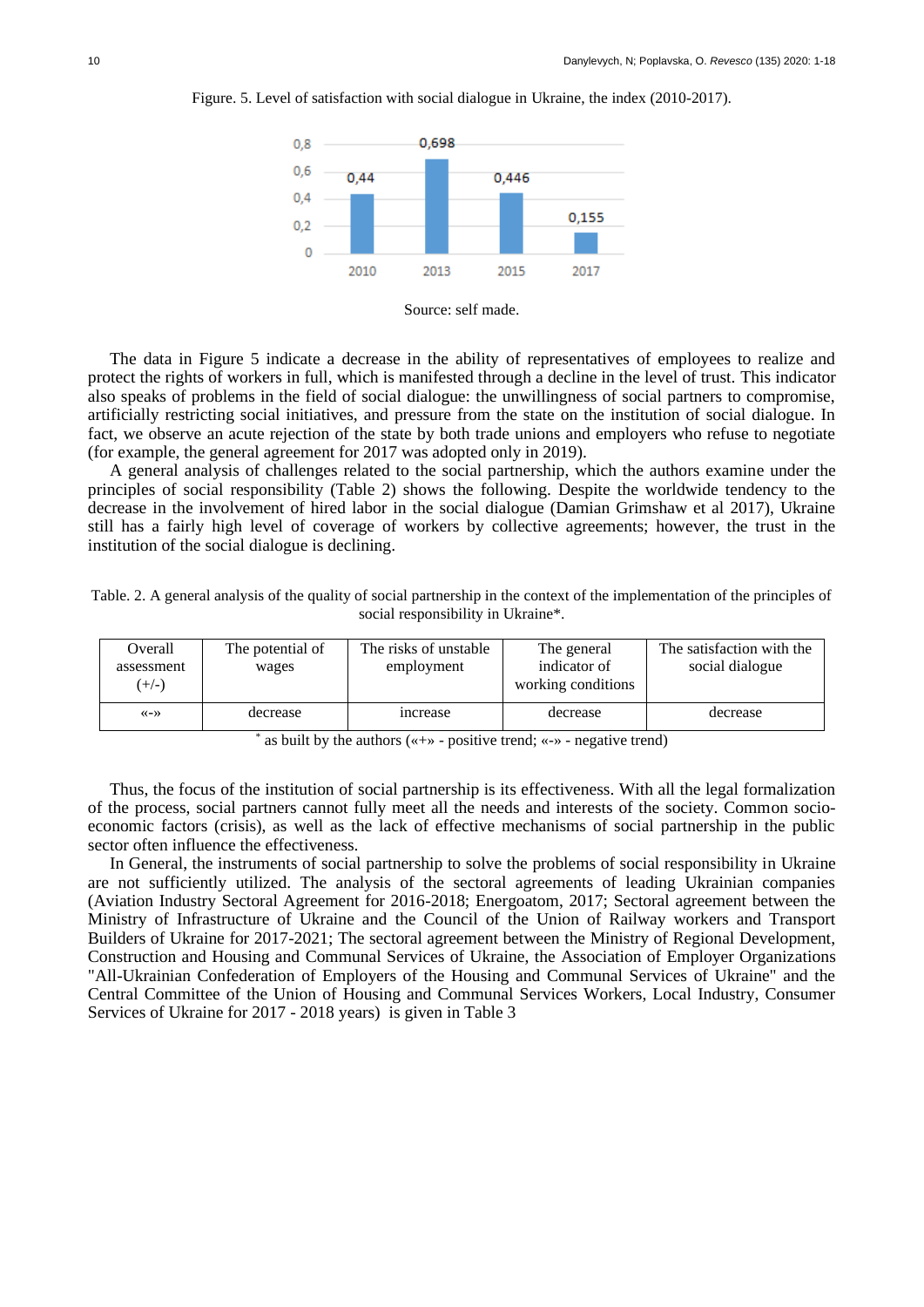

Figure. 5. Level of satisfaction with social dialogue in Ukraine, the index (2010-2017).

The data in Figure 5 indicate a decrease in the ability of representatives of employees to realize and protect the rights of workers in full, which is manifested through a decline in the level of trust. This indicator also speaks of problems in the field of social dialogue: the unwillingness of social partners to compromise, artificially restricting social initiatives, and pressure from the state on the institution of social dialogue. In fact, we observe an acute rejection of the state by both trade unions and employers who refuse to negotiate (for example, the general agreement for 2017 was adopted only in 2019).

A general analysis of challenges related to the social partnership, which the authors examine under the principles of social responsibility (Table 2) shows the following. Despite the worldwide tendency to the decrease in the involvement of hired labor in the social dialogue (Damian Grimshaw et al 2017), Ukraine still has a fairly high level of coverage of workers by collective agreements; however, the trust in the institution of the social dialogue is declining.

Table. 2. A general analysis of the quality of social partnership in the context of the implementation of the principles of social responsibility in Ukraine\*.

| Overall<br>assessment<br>$(+/-)$    | The potential of<br>wages | The risks of unstable<br>employment | The general<br>indicator of<br>working conditions | The satisfaction with the<br>social dialogue |  |
|-------------------------------------|---------------------------|-------------------------------------|---------------------------------------------------|----------------------------------------------|--|
| $\langle \langle - \rangle \rangle$ | decrease                  | increase                            | decrease                                          | decrease                                     |  |

\* as built by the authors («+» - positive trend; «-» - negative trend)

Thus, the focus of the institution of social partnership is its effectiveness. With all the legal formalization of the process, social partners cannot fully meet all the needs and interests of the society. Common socioeconomic factors (crisis), as well as the lack of effective mechanisms of social partnership in the public sector often influence the effectiveness.

In General, the instruments of social partnership to solve the problems of social responsibility in Ukraine are not sufficiently utilized. The analysis of the sectoral agreements of leading Ukrainian companies (Aviation Industry Sectoral Agreement for 2016-2018; Energoatom, 2017; Sectoral agreement between the Ministry of Infrastructure of Ukraine and the Council of the Union of Railway workers and Transport Builders of Ukraine for 2017-2021; The sectoral agreement between the Ministry of Regional Development, Construction and Housing and Communal Services of Ukraine, the Association of Employer Organizations "All-Ukrainian Confederation of Employers of the Housing and Communal Services of Ukraine" and the Central Committee of the Union of Housing and Communal Services Workers, Local Industry, Consumer Services of Ukraine for 2017 - 2018 years) is given in Table 3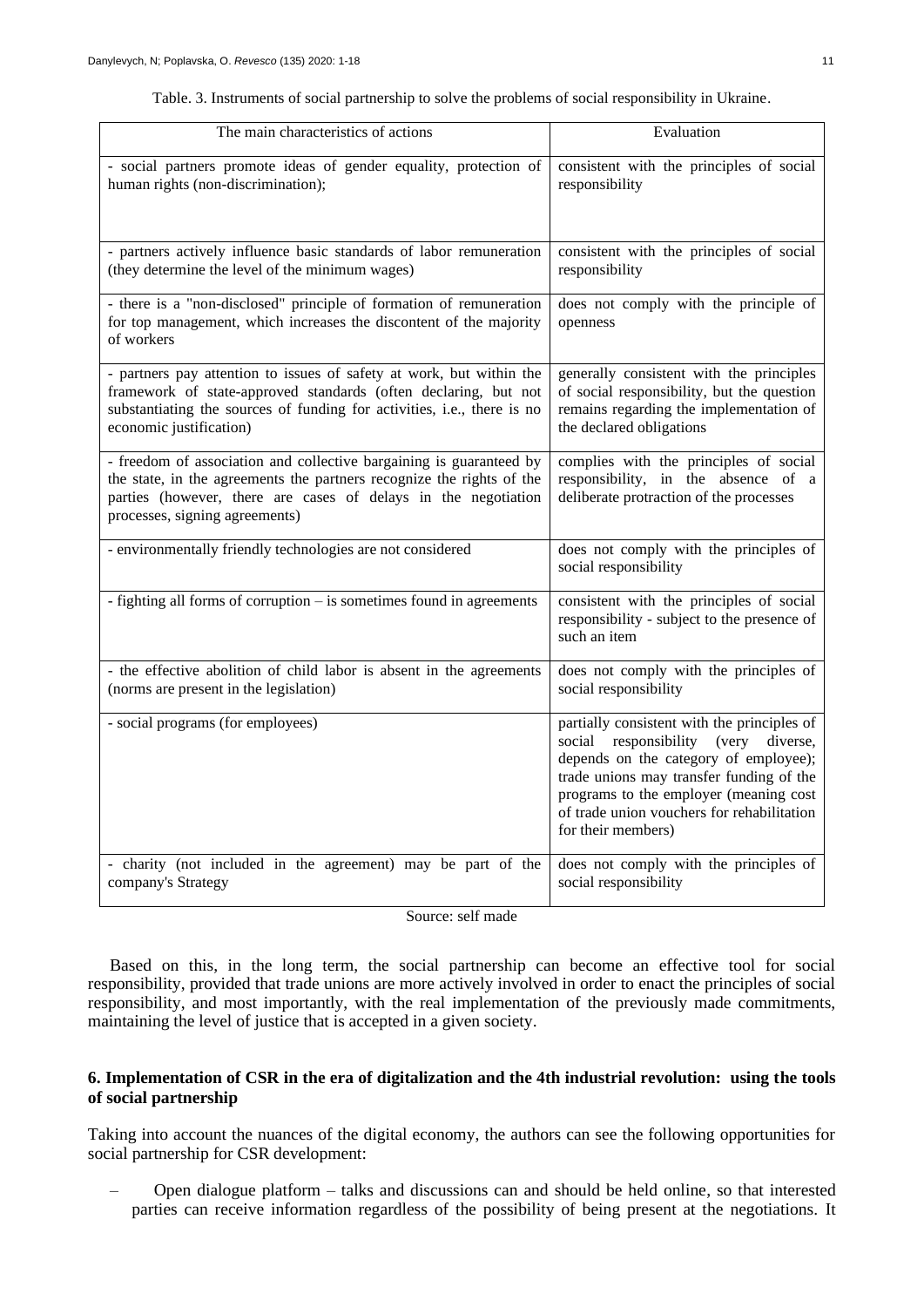| The main characteristics of actions                                                                                                                                                                                                              | Evaluation                                                                                                                                                                                                                                                                             |
|--------------------------------------------------------------------------------------------------------------------------------------------------------------------------------------------------------------------------------------------------|----------------------------------------------------------------------------------------------------------------------------------------------------------------------------------------------------------------------------------------------------------------------------------------|
| - social partners promote ideas of gender equality, protection of<br>human rights (non-discrimination);                                                                                                                                          | consistent with the principles of social<br>responsibility                                                                                                                                                                                                                             |
| - partners actively influence basic standards of labor remuneration<br>(they determine the level of the minimum wages)                                                                                                                           | consistent with the principles of social<br>responsibility                                                                                                                                                                                                                             |
| - there is a "non-disclosed" principle of formation of remuneration<br>for top management, which increases the discontent of the majority<br>of workers                                                                                          | does not comply with the principle of<br>openness                                                                                                                                                                                                                                      |
| - partners pay attention to issues of safety at work, but within the<br>framework of state-approved standards (often declaring, but not<br>substantiating the sources of funding for activities, i.e., there is no<br>economic justification)    | generally consistent with the principles<br>of social responsibility, but the question<br>remains regarding the implementation of<br>the declared obligations                                                                                                                          |
| - freedom of association and collective bargaining is guaranteed by<br>the state, in the agreements the partners recognize the rights of the<br>parties (however, there are cases of delays in the negotiation<br>processes, signing agreements) | complies with the principles of social<br>responsibility, in the absence of a<br>deliberate protraction of the processes                                                                                                                                                               |
| - environmentally friendly technologies are not considered                                                                                                                                                                                       | does not comply with the principles of<br>social responsibility                                                                                                                                                                                                                        |
| - fighting all forms of corruption - is sometimes found in agreements                                                                                                                                                                            | consistent with the principles of social<br>responsibility - subject to the presence of<br>such an item                                                                                                                                                                                |
| - the effective abolition of child labor is absent in the agreements<br>(norms are present in the legislation)                                                                                                                                   | does not comply with the principles of<br>social responsibility                                                                                                                                                                                                                        |
| - social programs (for employees)                                                                                                                                                                                                                | partially consistent with the principles of<br>social responsibility (very diverse,<br>depends on the category of employee);<br>trade unions may transfer funding of the<br>programs to the employer (meaning cost<br>of trade union vouchers for rehabilitation<br>for their members) |
| - charity (not included in the agreement) may be part of the<br>company's Strategy                                                                                                                                                               | does not comply with the principles of<br>social responsibility                                                                                                                                                                                                                        |

|  |  |  |  | Table. 3. Instruments of social partnership to solve the problems of social responsibility in Ukraine. |  |
|--|--|--|--|--------------------------------------------------------------------------------------------------------|--|
|  |  |  |  |                                                                                                        |  |
|  |  |  |  |                                                                                                        |  |

Source: self made

Based on this, in the long term, the social partnership can become an effective tool for social responsibility, provided that trade unions are more actively involved in order to enact the principles of social responsibility, and most importantly, with the real implementation of the previously made commitments, maintaining the level of justice that is accepted in a given society.

## **6. Implementation of CSR in the era of digitalization and the 4th industrial revolution: using the tools of social partnership**

Taking into account the nuances of the digital economy, the authors can see the following opportunities for social partnership for CSR development:

– Open dialogue platform – talks and discussions can and should be held online, so that interested parties can receive information regardless of the possibility of being present at the negotiations. It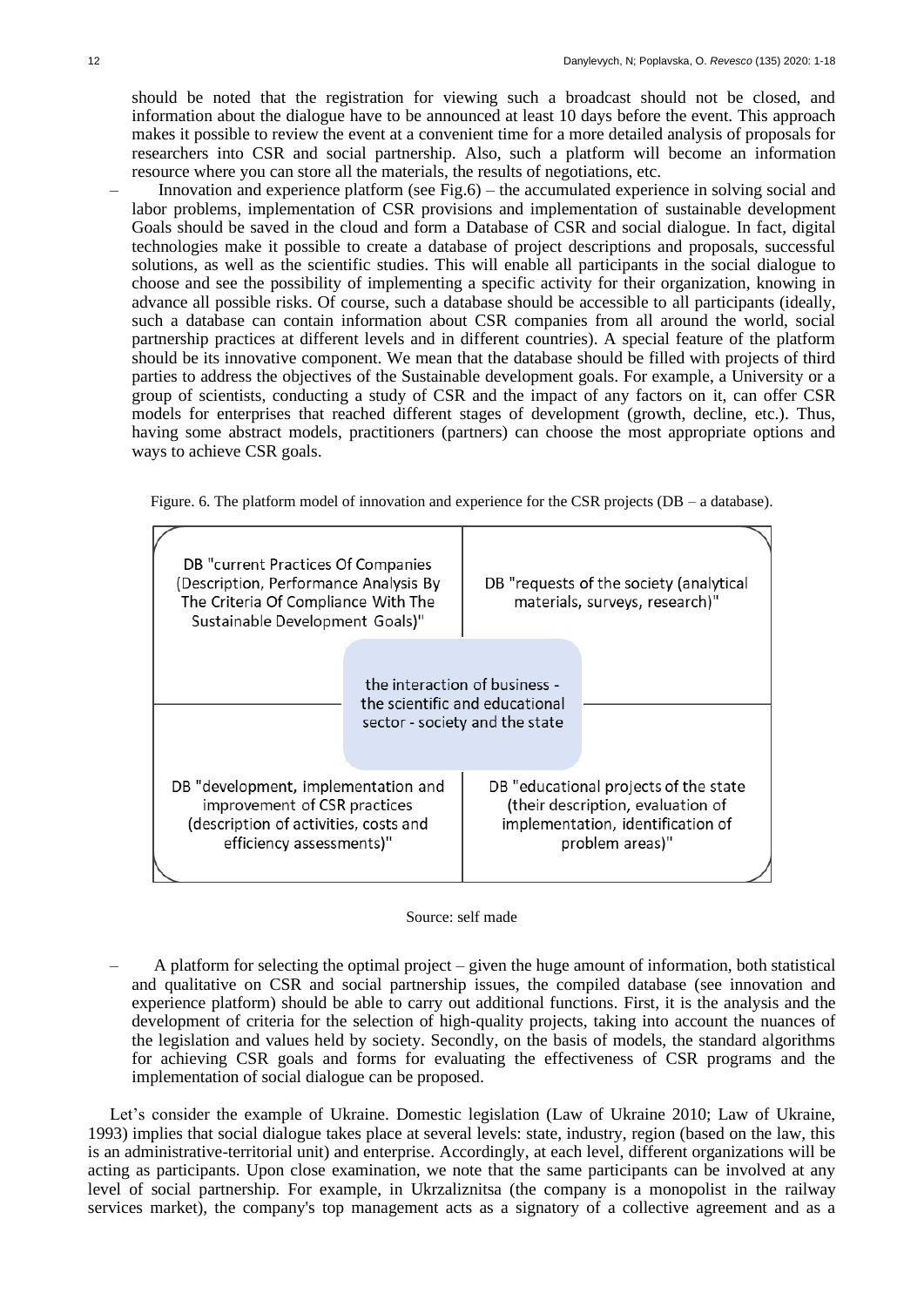should be noted that the registration for viewing such a broadcast should not be closed, and information about the dialogue have to be announced at least 10 days before the event. This approach makes it possible to review the event at a convenient time for a more detailed analysis of proposals for researchers into CSR and social partnership. Also, such a platform will become an information resource where you can store all the materials, the results of negotiations, etc.

– Innovation and experience platform (see Fig.6) – the accumulated experience in solving social and labor problems, implementation of CSR provisions and implementation of sustainable development Goals should be saved in the cloud and form a Database of CSR and social dialogue. In fact, digital technologies make it possible to create a database of project descriptions and proposals, successful solutions, as well as the scientific studies. This will enable all participants in the social dialogue to choose and see the possibility of implementing a specific activity for their organization, knowing in advance all possible risks. Of course, such a database should be accessible to all participants (ideally, such a database can contain information about CSR companies from all around the world, social partnership practices at different levels and in different countries). A special feature of the platform should be its innovative component. We mean that the database should be filled with projects of third parties to address the objectives of the Sustainable development goals. For example, a University or a group of scientists, conducting a study of CSR and the impact of any factors on it, can offer CSR models for enterprises that reached different stages of development (growth, decline, etc.). Thus, having some abstract models, practitioners (partners) can choose the most appropriate options and ways to achieve CSR goals.

Figure. 6. The platform model of innovation and experience for the CSR projects (DB – a database).

| DB "current Practices Of Companies<br>(Description, Performance Analysis By<br>The Criteria Of Compliance With The<br>Sustainable Development Goals)" |  |                                                                                                   | DB "requests of the society (analytical<br>materials, surveys, research)"                                                          |
|-------------------------------------------------------------------------------------------------------------------------------------------------------|--|---------------------------------------------------------------------------------------------------|------------------------------------------------------------------------------------------------------------------------------------|
|                                                                                                                                                       |  | the interaction of business -<br>the scientific and educational<br>sector - society and the state |                                                                                                                                    |
| DB "development, implementation and<br>improvement of CSR practices<br>(description of activities, costs and<br>efficiency assessments)"              |  |                                                                                                   | DB "educational projects of the state<br>(their description, evaluation of<br>implementation, identification of<br>problem areas)" |

#### Source: self made

– A platform for selecting the optimal project – given the huge amount of information, both statistical and qualitative on CSR and social partnership issues, the compiled database (see innovation and experience platform) should be able to carry out additional functions. First, it is the analysis and the development of criteria for the selection of high-quality projects, taking into account the nuances of the legislation and values held by society. Secondly, on the basis of models, the standard algorithms for achieving CSR goals and forms for evaluating the effectiveness of CSR programs and the implementation of social dialogue can be proposed.

Let's consider the example of Ukraine. Domestic legislation (Law of Ukraine 2010; Law of Ukraine, 1993) implies that social dialogue takes place at several levels: state, industry, region (based on the law, this is an administrative-territorial unit) and enterprise. Accordingly, at each level, different organizations will be acting as participants. Upon close examination, we note that the same participants can be involved at any level of social partnership. For example, in Ukrzaliznitsa (the company is a monopolist in the railway services market), the company's top management acts as a signatory of a collective agreement and as a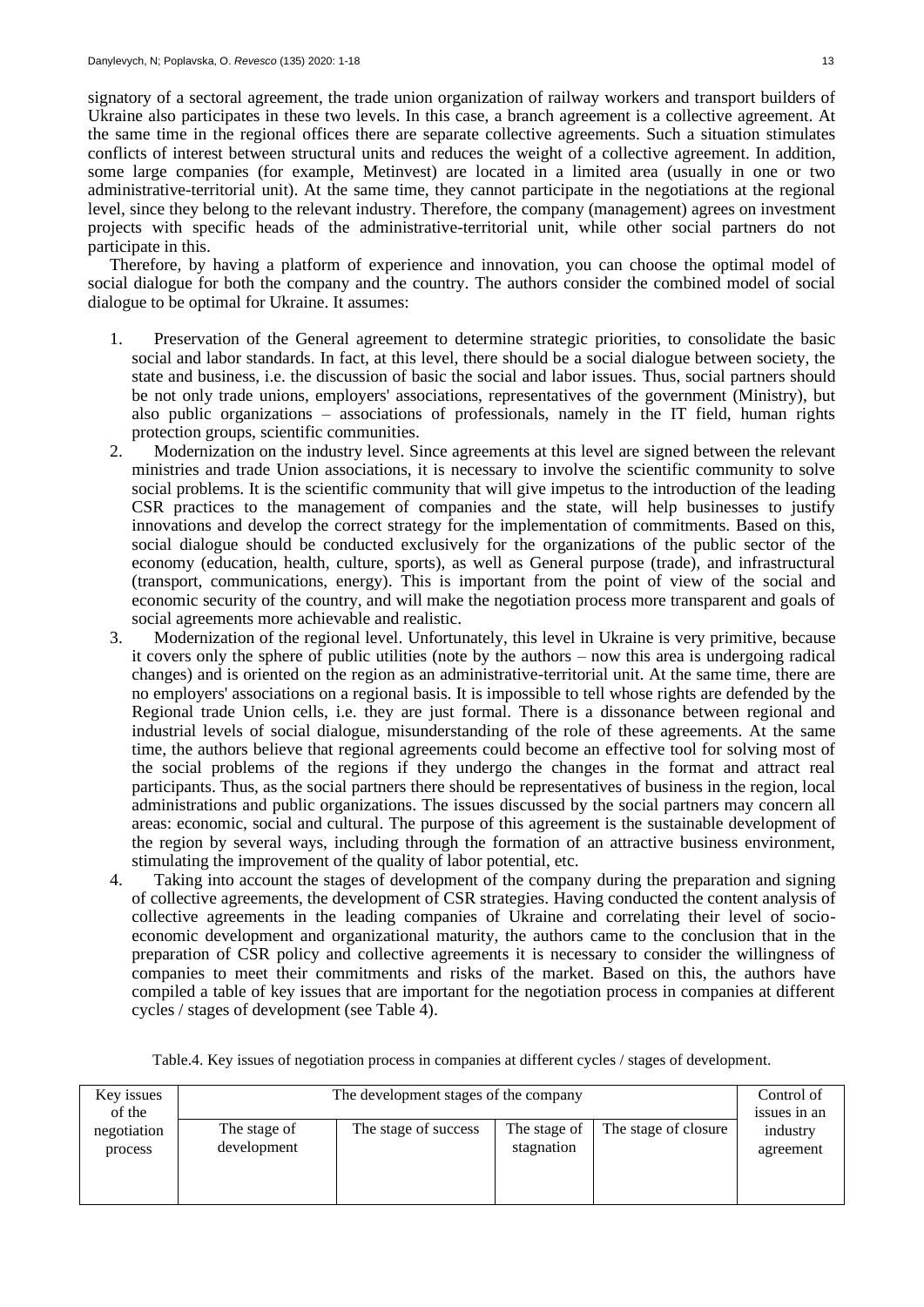signatory of a sectoral agreement, the trade union organization of railway workers and transport builders of Ukraine also participates in these two levels. In this case, a branch agreement is a collective agreement. At the same time in the regional offices there are separate collective agreements. Such a situation stimulates conflicts of interest between structural units and reduces the weight of a collective agreement. In addition, some large companies (for example, Metinvest) are located in a limited area (usually in one or two administrative-territorial unit). At the same time, they cannot participate in the negotiations at the regional level, since they belong to the relevant industry. Therefore, the company (management) agrees on investment projects with specific heads of the administrative-territorial unit, while other social partners do not participate in this.

Therefore, by having a platform of experience and innovation, you can choose the optimal model of social dialogue for both the company and the country. The authors consider the combined model of social dialogue to be optimal for Ukraine. It assumes:

- 1. Preservation of the General agreement to determine strategic priorities, to consolidate the basic social and labor standards. In fact, at this level, there should be a social dialogue between society, the state and business, i.e. the discussion of basic the social and labor issues. Thus, social partners should be not only trade unions, employers' associations, representatives of the government (Ministry), but also public organizations – associations of professionals, namely in the IT field, human rights protection groups, scientific communities.
- 2. Modernization on the industry level. Since agreements at this level are signed between the relevant ministries and trade Union associations, it is necessary to involve the scientific community to solve social problems. It is the scientific community that will give impetus to the introduction of the leading CSR practices to the management of companies and the state, will help businesses to justify innovations and develop the correct strategy for the implementation of commitments. Based on this, social dialogue should be conducted exclusively for the organizations of the public sector of the economy (education, health, culture, sports), as well as General purpose (trade), and infrastructural (transport, communications, energy). This is important from the point of view of the social and economic security of the country, and will make the negotiation process more transparent and goals of social agreements more achievable and realistic.
- 3. Modernization of the regional level. Unfortunately, this level in Ukraine is very primitive, because it covers only the sphere of public utilities (note by the authors – now this area is undergoing radical changes) and is oriented on the region as an administrative-territorial unit. At the same time, there are no employers' associations on a regional basis. It is impossible to tell whose rights are defended by the Regional trade Union cells, i.e. they are just formal. There is a dissonance between regional and industrial levels of social dialogue, misunderstanding of the role of these agreements. At the same time, the authors believe that regional agreements could become an effective tool for solving most of the social problems of the regions if they undergo the changes in the format and attract real participants. Thus, as the social partners there should be representatives of business in the region, local administrations and public organizations. The issues discussed by the social partners may concern all areas: economic, social and cultural. The purpose of this agreement is the sustainable development of the region by several ways, including through the formation of an attractive business environment, stimulating the improvement of the quality of labor potential, etc.
- 4. Taking into account the stages of development of the company during the preparation and signing of collective agreements, the development of CSR strategies. Having conducted the content analysis of collective agreements in the leading companies of Ukraine and correlating their level of socioeconomic development and organizational maturity, the authors came to the conclusion that in the preparation of CSR policy and collective agreements it is necessary to consider the willingness of companies to meet their commitments and risks of the market. Based on this, the authors have compiled a table of key issues that are important for the negotiation process in companies at different cycles / stages of development (see Table 4).

Table.4. Key issues of negotiation process in companies at different cycles / stages of development.

| Key issues<br>of the   | The development stages of the company | Control of<br>issues in an |                            |                      |                       |
|------------------------|---------------------------------------|----------------------------|----------------------------|----------------------|-----------------------|
| negotiation<br>process | The stage of<br>development           | The stage of success       | The stage of<br>stagnation | The stage of closure | industry<br>agreement |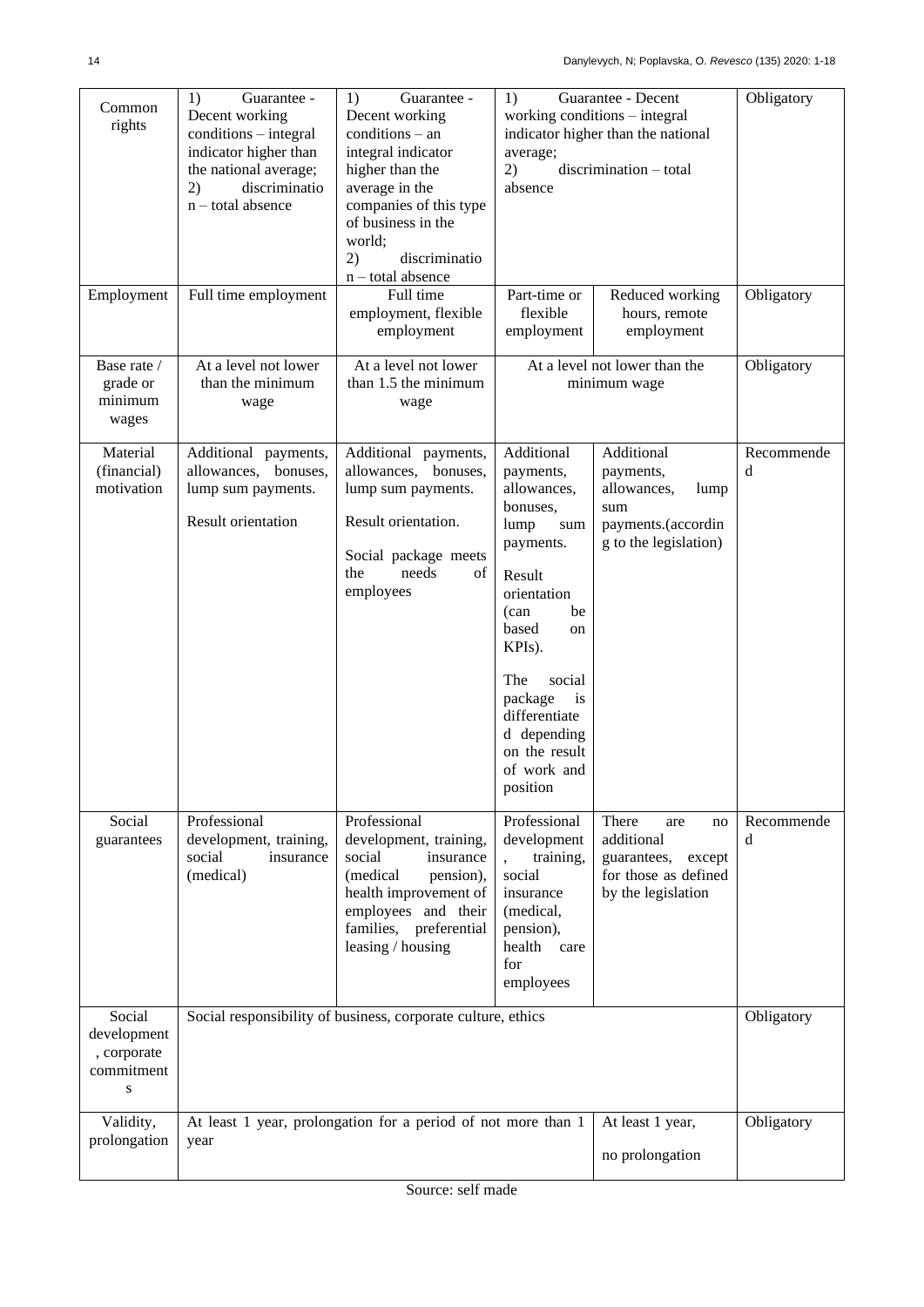| Common<br>rights                                        | 1)<br>Guarantee -<br>Decent working<br>conditions - integral<br>indicator higher than<br>the national average;<br>discriminatio<br>2)<br>$n$ – total absence | 1)<br>Guarantee -<br>Decent working<br>$conditions - an$<br>integral indicator<br>higher than the<br>average in the<br>companies of this type<br>of business in the<br>world;<br>2)<br>discriminatio<br>n - total absence | Guarantee - Decent<br>1)<br>working conditions – integral<br>indicator higher than the national<br>average;<br>discrimination - total<br>2)<br>absence                                                                                                       |                                                                                                         | Obligatory      |
|---------------------------------------------------------|--------------------------------------------------------------------------------------------------------------------------------------------------------------|---------------------------------------------------------------------------------------------------------------------------------------------------------------------------------------------------------------------------|--------------------------------------------------------------------------------------------------------------------------------------------------------------------------------------------------------------------------------------------------------------|---------------------------------------------------------------------------------------------------------|-----------------|
| Employment                                              | Full time employment                                                                                                                                         | Full time<br>employment, flexible<br>employment                                                                                                                                                                           | Part-time or<br>flexible<br>employment                                                                                                                                                                                                                       | Reduced working<br>hours, remote<br>employment                                                          | Obligatory      |
| Base rate /<br>grade or<br>minimum<br>wages             | At a level not lower<br>than the minimum<br>wage                                                                                                             | At a level not lower<br>than 1.5 the minimum<br>wage                                                                                                                                                                      |                                                                                                                                                                                                                                                              | At a level not lower than the<br>minimum wage                                                           | Obligatory      |
| Material<br>(financial)<br>motivation                   | Additional payments,<br>allowances, bonuses,<br>lump sum payments.<br><b>Result orientation</b>                                                              | Additional payments,<br>allowances, bonuses,<br>lump sum payments.<br>Result orientation.<br>Social package meets<br>needs<br>the<br>of<br>employees                                                                      | Additional<br>payments,<br>allowances,<br>bonuses,<br>lump<br>sum<br>payments.<br>Result<br>orientation<br>be<br>(can<br>based<br>on<br>KPIs).<br>The<br>social<br>package<br>is<br>differentiate<br>d depending<br>on the result<br>of work and<br>position | Additional<br>payments,<br>allowances,<br>lump<br>sum<br>payments.(accordin<br>g to the legislation)    | Recommende<br>d |
| Social<br>guarantees                                    | Professional<br>development, training,<br>social<br>insurance<br>(medical)                                                                                   | Professional<br>development, training,<br>social<br>insurance<br>(medical<br>pension),<br>health improvement of<br>employees and their<br>families, preferential<br>leasing / housing                                     | Professional<br>development<br>training,<br>social<br>insurance<br>(medical,<br>pension),<br>health<br>care<br>for<br>employees                                                                                                                              | There<br>are<br>no<br>additional<br>guarantees,<br>except<br>for those as defined<br>by the legislation | Recommende<br>d |
| Social<br>development<br>, corporate<br>commitment<br>S | Social responsibility of business, corporate culture, ethics                                                                                                 |                                                                                                                                                                                                                           |                                                                                                                                                                                                                                                              |                                                                                                         | Obligatory      |
| Validity,<br>prolongation                               | year                                                                                                                                                         | At least 1 year, prolongation for a period of not more than 1                                                                                                                                                             | At least 1 year,<br>no prolongation                                                                                                                                                                                                                          | Obligatory                                                                                              |                 |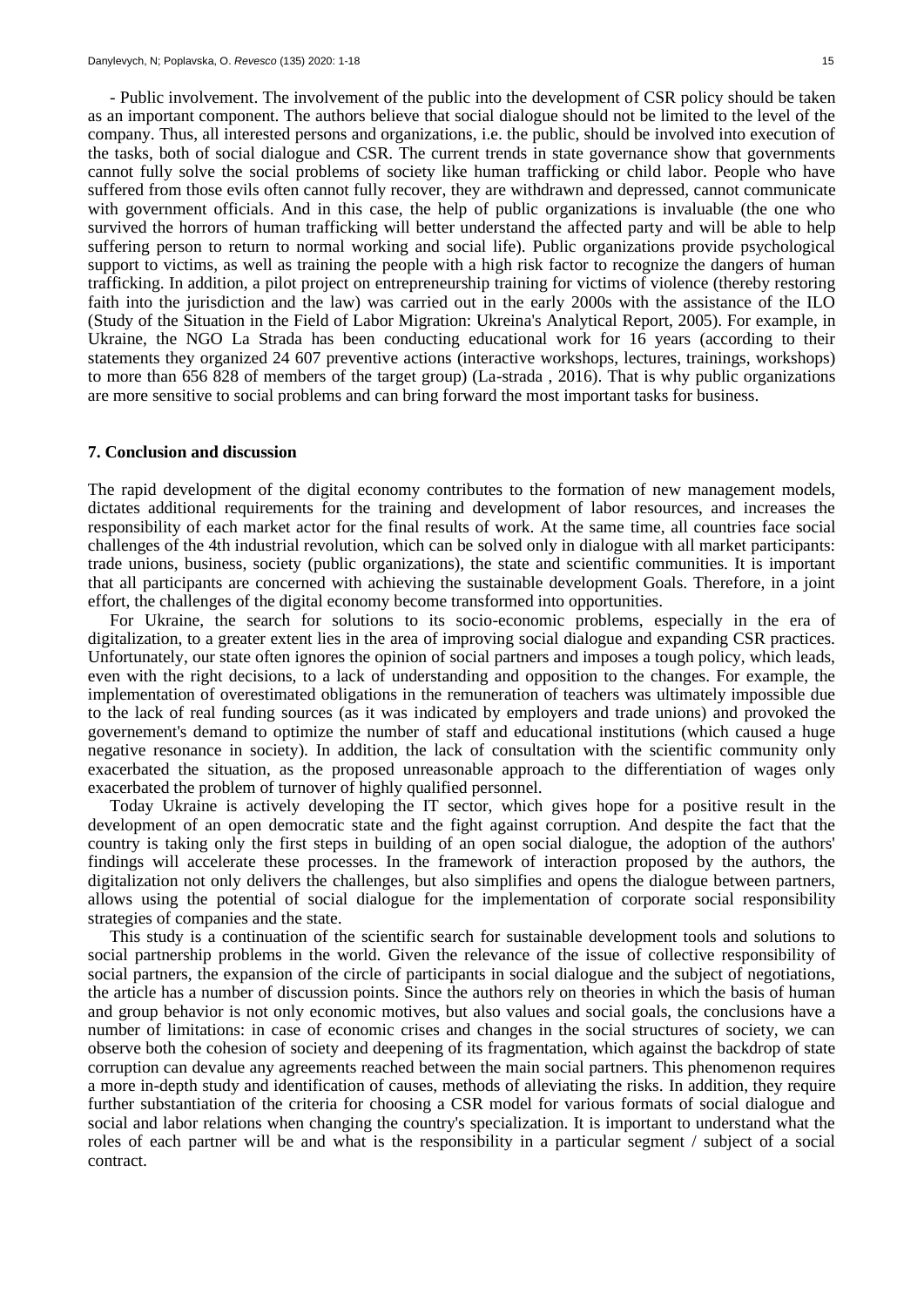- Public involvement. The involvement of the public into the development of CSR policy should be taken as an important component. The authors believe that social dialogue should not be limited to the level of the company. Thus, all interested persons and organizations, i.e. the public, should be involved into execution of the tasks, both of social dialogue and CSR. The current trends in state governance show that governments cannot fully solve the social problems of society like human trafficking or child labor. People who have suffered from those evils often cannot fully recover, they are withdrawn and depressed, cannot communicate with government officials. And in this case, the help of public organizations is invaluable (the one who survived the horrors of human trafficking will better understand the affected party and will be able to help suffering person to return to normal working and social life). Public organizations provide psychological support to victims, as well as training the people with a high risk factor to recognize the dangers of human trafficking. In addition, a pilot project on entrepreneurship training for victims of violence (thereby restoring faith into the jurisdiction and the law) was carried out in the early 2000s with the assistance of the ILO (Study of the Situation in the Field of Labor Migration: Ukreina's Analytical Report, 2005). For example, in Ukraine, the NGO La Strada has been conducting educational work for 16 years (according to their statements they organized 24 607 preventive actions (interactive workshops, lectures, trainings, workshops) to more than 656 828 of members of the target group) (La-strada , 2016). That is why public organizations are more sensitive to social problems and can bring forward the most important tasks for business.

#### **7. Conclusion and discussion**

The rapid development of the digital economy contributes to the formation of new management models, dictates additional requirements for the training and development of labor resources, and increases the responsibility of each market actor for the final results of work. At the same time, all countries face social challenges of the 4th industrial revolution, which can be solved only in dialogue with all market participants: trade unions, business, society (public organizations), the state and scientific communities. It is important that all participants are concerned with achieving the sustainable development Goals. Therefore, in a joint effort, the challenges of the digital economy become transformed into opportunities.

For Ukraine, the search for solutions to its socio-economic problems, especially in the era of digitalization, to a greater extent lies in the area of improving social dialogue and expanding CSR practices. Unfortunately, our state often ignores the opinion of social partners and imposes a tough policy, which leads, even with the right decisions, to a lack of understanding and opposition to the changes. For example, the implementation of overestimated obligations in the remuneration of teachers was ultimately impossible due to the lack of real funding sources (as it was indicated by employers and trade unions) and provoked the governement's demand to optimize the number of staff and educational institutions (which caused a huge negative resonance in society). In addition, the lack of consultation with the scientific community only exacerbated the situation, as the proposed unreasonable approach to the differentiation of wages only exacerbated the problem of turnover of highly qualified personnel.

Today Ukraine is actively developing the IT sector, which gives hope for a positive result in the development of an open democratic state and the fight against corruption. And despite the fact that the country is taking only the first steps in building of an open social dialogue, the adoption of the authors' findings will accelerate these processes. In the framework of interaction proposed by the authors, the digitalization not only delivers the challenges, but also simplifies and opens the dialogue between partners, allows using the potential of social dialogue for the implementation of corporate social responsibility strategies of companies and the state.

This study is a continuation of the scientific search for sustainable development tools and solutions to social partnership problems in the world. Given the relevance of the issue of collective responsibility of social partners, the expansion of the circle of participants in social dialogue and the subject of negotiations, the article has a number of discussion points. Since the authors rely on theories in which the basis of human and group behavior is not only economic motives, but also values and social goals, the conclusions have a number of limitations: in case of economic crises and changes in the social structures of society, we can observe both the cohesion of society and deepening of its fragmentation, which against the backdrop of state corruption can devalue any agreements reached between the main social partners. This phenomenon requires a more in-depth study and identification of causes, methods of alleviating the risks. In addition, they require further substantiation of the criteria for choosing a CSR model for various formats of social dialogue and social and labor relations when changing the country's specialization. It is important to understand what the roles of each partner will be and what is the responsibility in a particular segment / subject of a social contract.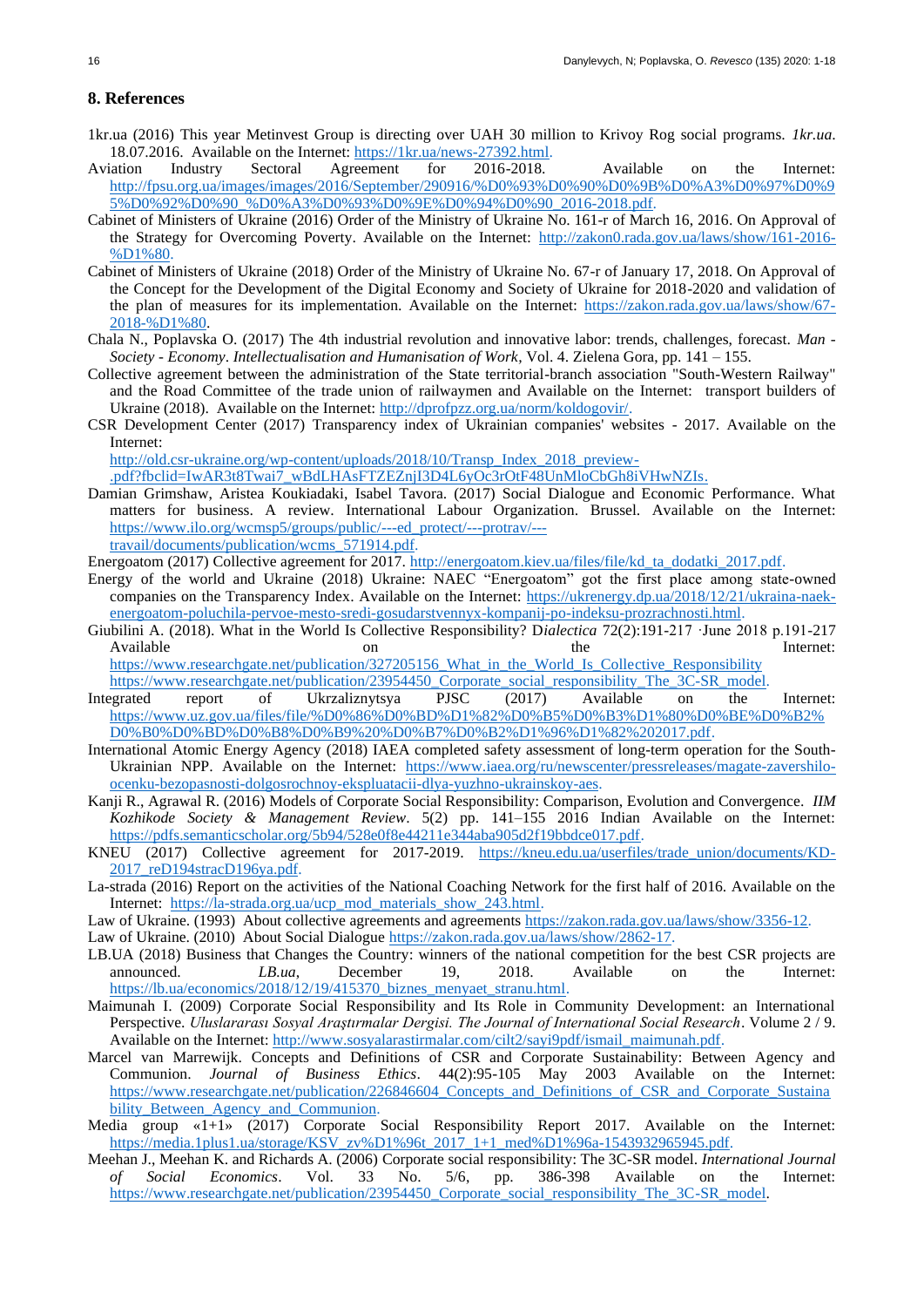## **8. References**

- 1kr.ua (2016) This year Metinvest Group is directing over UAH 30 million to Krivoy Rog social programs. *1kr.ua*. 18.07.2016. Available on the Internet: [https://1kr.ua/news-27392.html.](https://1kr.ua/news-27392.html)
- Aviation Industry Sectoral Agreement for 2016-2018. Available on the Internet: [http://fpsu.org.ua/images/images/2016/September/290916/%D0%93%D0%90%D0%9B%D0%A3%D0%97%D0%9](http://fpsu.org.ua/images/images/2016/September/290916/ГАЛУЗЕВА_УГОДА_2016-2018.pdf) [5%D0%92%D0%90\\_%D0%A3%D0%93%D0%9E%D0%94%D0%90\\_2016-2018.pdf.](http://fpsu.org.ua/images/images/2016/September/290916/ГАЛУЗЕВА_УГОДА_2016-2018.pdf)
- Cabinet of Ministers of Ukraine (2016) Order of the Ministry of Ukraine No. 161-r of March 16, 2016. On Approval of the Strategy for Overcoming Poverty. Available on the Internet: [http://zakon0.rada.gov.ua/laws/show/161-2016-](http://zakon0.rada.gov.ua/laws/show/161-2016-р) [%D1%80.](http://zakon0.rada.gov.ua/laws/show/161-2016-р)
- Cabinet of Ministers of Ukraine (2018) Order of the Ministry of Ukraine No. 67-r of January 17, 2018. On Approval of the Concept for the Development of the Digital Economy and Society of Ukraine for 2018-2020 and validation of the plan of measures for its implementation. Available on the Internet: [https://zakon.rada.gov.ua/laws/show/67-](https://zakon.rada.gov.ua/laws/show/67-2018-р) [2018-%D1%80.](https://zakon.rada.gov.ua/laws/show/67-2018-р)
- Chala N., Poplavska O. (2017) The 4th industrial revolution and innovative labor: trends, challenges, forecast. *Man - Society - Economy*. *Intellectualisation and Humanisation of Work,* Vol. 4. Zielena Gora, pp. 141 – 155.
- Collective agreement between the administration of the State territorial-branch association "South-Western Railway" and the Road Committee of the trade union of railwaymen and Available on the Internet: transport builders of Ukraine (2018). Available on the Internet[: http://dprofpzz.org.ua/norm/koldogovir/.](http://dprofpzz.org.ua/norm/koldogovir/)
- CSR Development Center (2017) Transparency index of Ukrainian companies' websites 2017. Available on the Internet:

[http://old.csr-ukraine.org/wp-content/uploads/2018/10/Transp\\_Index\\_2018\\_preview-](http://old.csr-ukraine.org/wp-content/uploads/2018/10/Transp_Index_2018_preview-.pdf?fbclid=IwAR3t8Twai7_wBdLHAsFTZEZnjI3D4L6yOc3rOtF48UnMloCbGh8iVHwNZIs)

[.pdf?fbclid=IwAR3t8Twai7\\_wBdLHAsFTZEZnjI3D4L6yOc3rOtF48UnMloCbGh8iVHwNZIs.](http://old.csr-ukraine.org/wp-content/uploads/2018/10/Transp_Index_2018_preview-.pdf?fbclid=IwAR3t8Twai7_wBdLHAsFTZEZnjI3D4L6yOc3rOtF48UnMloCbGh8iVHwNZIs)

Damian Grimshaw, Aristea Koukiadaki, Isabel Tavora. (2017) Social Dialogue and Economic Performance. What matters for business. A review. International Labour Organization. Brussel. Available on the Internet: [https://www.ilo.org/wcmsp5/groups/public/---ed\\_protect/---protrav/---](https://www.ilo.org/wcmsp5/groups/public/---ed_protect/---protrav/---travail/documents/publication/wcms_571914.pdf)

[travail/documents/publication/wcms\\_571914.pdf.](https://www.ilo.org/wcmsp5/groups/public/---ed_protect/---protrav/---travail/documents/publication/wcms_571914.pdf)

Energoatom (2017) Collective agreement for 2017. [http://energoatom.kiev.ua/files/file/kd\\_ta\\_dodatki\\_2017.pdf.](http://energoatom.kiev.ua/files/file/kd_ta_dodatki_2017.pdf)

- Energy of the world and Ukraine (2018) Ukraine: NAEC "Energoatom" got the first place among state-owned companies on the Transparency Index. Available on the Internet: [https://ukrenergy.dp.ua/2018/12/21/ukraina-naek](https://ukrenergy.dp.ua/2018/12/21/ukraina-naek-energoatom-poluchila-pervoe-mesto-sredi-gosudarstvennyx-kompanij-po-indeksu-prozrachnosti.html)[energoatom-poluchila-pervoe-mesto-sredi-gosudarstvennyx-kompanij-po-indeksu-prozrachnosti.html.](https://ukrenergy.dp.ua/2018/12/21/ukraina-naek-energoatom-poluchila-pervoe-mesto-sredi-gosudarstvennyx-kompanij-po-indeksu-prozrachnosti.html)
- Giubilini A. (2018). What in the World Is Collective Responsibility? D*ialectica* 72(2):191-217 ·June 2018 р.191-217 Available **on** on the Internet: [https://www.researchgate.net/publication/327205156\\_What\\_in\\_the\\_World\\_Is\\_Collective\\_Responsibility](https://www.researchgate.net/publication/327205156_What_in_the_World_Is_Collective_Responsibility)

[https://www.researchgate.net/publication/23954450\\_Corporate\\_social\\_responsibility\\_The\\_3C-SR\\_model.](https://www.researchgate.net/publication/23954450_Corporate_social_responsibility_The_3C-SR_model)

- Integrated report of Ukrzaliznytsya PJSC (2017) Available on the Internet: [https://www.uz.gov.ua/files/file/%D0%86%D0%BD%D1%82%D0%B5%D0%B3%D1%80%D0%BE%D0%B2%](https://www.uz.gov.ua/files/file/Інтегрований%20звіт%202017.pdf) [D0%B0%D0%BD%D0%B8%D0%B9%20%D0%B7%D0%B2%D1%96%D1%82%202017.pdf.](https://www.uz.gov.ua/files/file/Інтегрований%20звіт%202017.pdf)
- International Atomic Energy Agency (2018) IAEA completed safety assessment of long-term operation for the SouthUkrainian NPP. Available on the Internet: [https://www.iaea.org/ru/newscenter/pressreleases/magate-zavershilo](https://www.iaea.org/ru/newscenter/pressreleases/magate-zavershilo-ocenku-bezopasnosti-dolgosrochnoy-ekspluatacii-dlya-yuzhno-ukrainskoy-aes)[ocenku-bezopasnosti-dolgosrochnoy-ekspluatacii-dlya-yuzhno-ukrainskoy-aes.](https://www.iaea.org/ru/newscenter/pressreleases/magate-zavershilo-ocenku-bezopasnosti-dolgosrochnoy-ekspluatacii-dlya-yuzhno-ukrainskoy-aes)
- Kanji R., Agrawal R. (2016) Models of Corporate Social Responsibility: Comparison, Evolution and Convergence. *IIM Kozhikode Society & Management Review*. 5(2) pp. 141–155 2016 Indian Available on the Internet: [https://pdfs.semanticscholar.org/5b94/528e0f8e44211e344aba905d2f19bbdce017.pdf.](https://pdfs.semanticscholar.org/5b94/528e0f8e44211e344aba905d2f19bbdce017.pdf)
- KNEU (2017) Collective agreement for 2017-2019. [https://kneu.edu.ua/userfiles/trade\\_union/documents/KD-](https://kneu.edu.ua/userfiles/trade_union/documents/KD-2017_reD194stracD196ya.pdf)[2017\\_reD194stracD196ya.pdf.](https://kneu.edu.ua/userfiles/trade_union/documents/KD-2017_reD194stracD196ya.pdf)
- La-strada (2016) Report on the activities of the National Coaching Network for the first half of 2016. Available on the Internet: [https://la-strada.org.ua/ucp\\_mod\\_materials\\_show\\_243.html.](https://la-strada.org.ua/ucp_mod_materials_show_243.html)
- Law of Ukraine. (1993) About collective agreements and agreements [https://zakon.rada.gov.ua/laws/show/3356-12.](https://zakon.rada.gov.ua/laws/show/3356-12)
- Law of Ukraine. (2010) About Social Dialogue [https://zakon.rada.gov.ua/laws/show/2862-17.](https://zakon.rada.gov.ua/laws/show/2862-17)
- LB.UA (2018) Business that Changes the Country: winners of the national competition for the best CSR projects are announced. *LB.ua*, December 19, 2018. Available on the Internet: [https://lb.ua/economics/2018/12/19/415370\\_biznes\\_menyaet\\_stranu.html.](https://lb.ua/economics/2018/12/19/415370_biznes_menyaet_stranu.html)
- Maimunah I. (2009) Corporate Social Responsibility and Its Role in Community Development: an International Perspective. *Uluslararası Sosyal Araştırmalar Dergisi. The Journal of International Social Research*. Volume 2 / 9. Available on the Internet: [http://www.sosyalarastirmalar.com/cilt2/sayi9pdf/ismail\\_maimunah.pdf.](http://www.sosyalarastirmalar.com/cilt2/sayi9pdf/ismail_maimunah.pdf)
- Marcel van Marrewijk. Concepts and Definitions of CSR and Corporate Sustainability: Between Agency and Communion. *Journal of Business Ethics*. 44(2):95-105 May 2003 Available on the Internet: [https://www.researchgate.net/publication/226846604\\_Concepts\\_and\\_Definitions\\_of\\_CSR\\_and\\_Corporate\\_Sustaina](https://www.researchgate.net/publication/226846604_Concepts_and_Definitions_of_CSR_and_Corporate_Sustainability_Between_Agency_and_Communion) [bility\\_Between\\_Agency\\_and\\_Communion.](https://www.researchgate.net/publication/226846604_Concepts_and_Definitions_of_CSR_and_Corporate_Sustainability_Between_Agency_and_Communion)
- Media group «1+1» (2017) Corporate Social Responsibility Report 2017. Available on the Internet: [https://media.1plus1.ua/storage/KSV\\_zv%D1%96t\\_2017\\_1+1\\_med%D1%96a-1543932965945.pdf.](https://media.1plus1.ua/storage/KSV_zvіt_2017_1+1_medіa-1543932965945.pdf)
- Meehan J., Meehan K. and Richards A. (2006) Corporate social responsibility: The 3C-SR model. *International Journal of Social Economics*. Vol. 33 No. 5/6, pp. 386-398 Available on the Internet: [https://www.researchgate.net/publication/23954450\\_Corporate\\_social\\_responsibility\\_The\\_3C-SR\\_model.](https://www.researchgate.net/publication/23954450_Corporate_social_responsibility_The_3C-SR_model)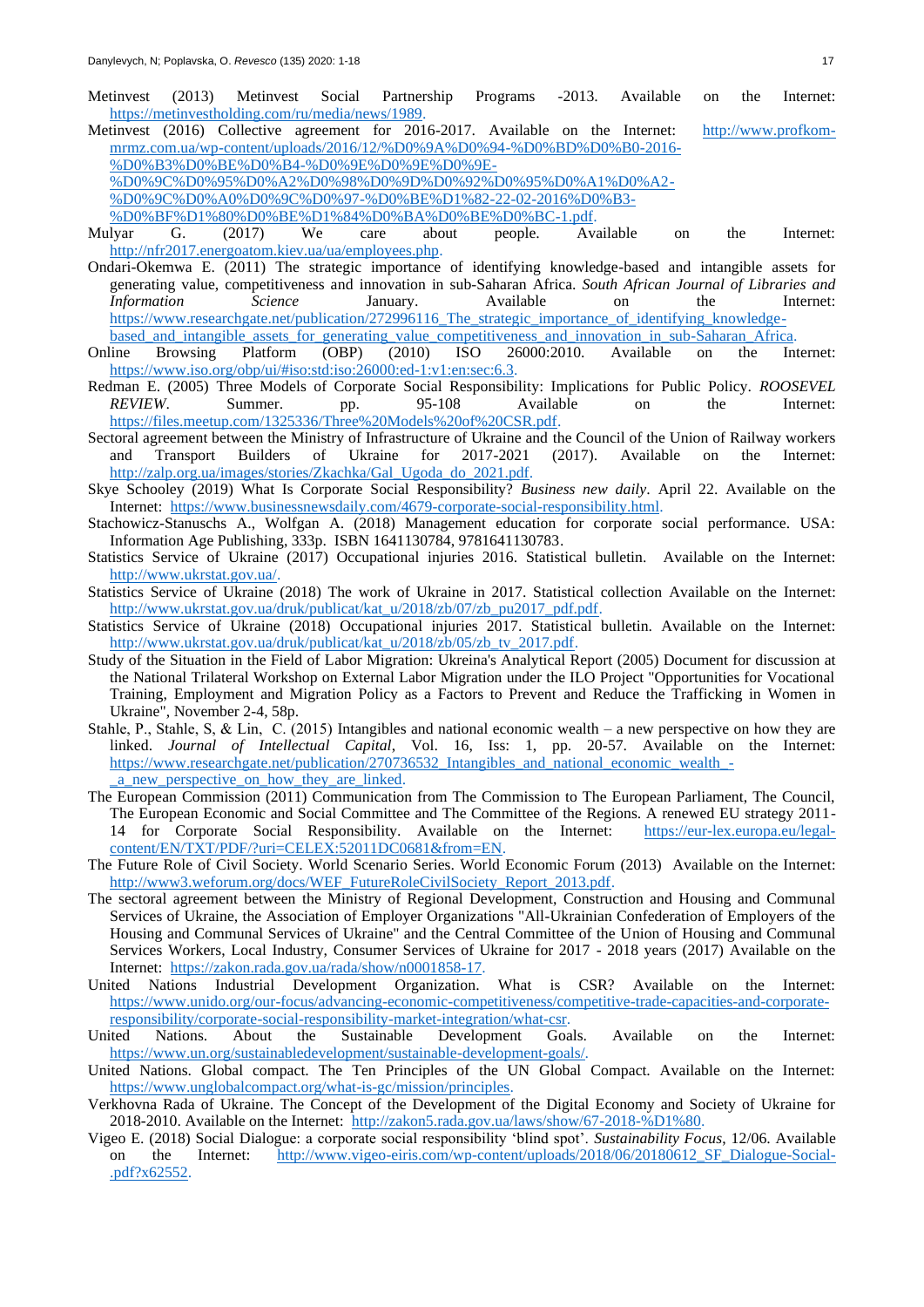- Metinvest (2013) Metinvest Social Partnership Programs -2013. Available on the Internet: [https://metinvestholding.com/ru/media/news/1989.](https://metinvestholding.com/ru/media/news/1989)
- Metinvest (2016) Collective agreement for 2016-2017. Available on the Internet: [http://www.profkom](http://www.profkom-mrmz.com.ua/wp-content/uploads/2016/12/КД-на-2016-год-ООО-МЕТИНВЕСТ-МРМЗ-от-22-02-2016г-профком-1.pdf)[mrmz.com.ua/wp-content/uploads/2016/12/%D0%9A%D0%94-%D0%BD%D0%B0-2016-](http://www.profkom-mrmz.com.ua/wp-content/uploads/2016/12/КД-на-2016-год-ООО-МЕТИНВЕСТ-МРМЗ-от-22-02-2016г-профком-1.pdf) [%D0%B3%D0%BE%D0%B4-%D0%9E%D0%9E%D0%9E-](http://www.profkom-mrmz.com.ua/wp-content/uploads/2016/12/КД-на-2016-год-ООО-МЕТИНВЕСТ-МРМЗ-от-22-02-2016г-профком-1.pdf)

[%D0%9C%D0%95%D0%A2%D0%98%D0%9D%D0%92%D0%95%D0%A1%D0%A2-](http://www.profkom-mrmz.com.ua/wp-content/uploads/2016/12/КД-на-2016-год-ООО-МЕТИНВЕСТ-МРМЗ-от-22-02-2016г-профком-1.pdf) [%D0%9C%D0%A0%D0%9C%D0%97-%D0%BE%D1%82-22-02-2016%D0%B3-](http://www.profkom-mrmz.com.ua/wp-content/uploads/2016/12/КД-на-2016-год-ООО-МЕТИНВЕСТ-МРМЗ-от-22-02-2016г-профком-1.pdf)

[%D0%BF%D1%80%D0%BE%D1%84%D0%BA%D0%BE%D0%BC-1.pdf.](http://www.profkom-mrmz.com.ua/wp-content/uploads/2016/12/КД-на-2016-год-ООО-МЕТИНВЕСТ-МРМЗ-от-22-02-2016г-профком-1.pdf)

- Mulyar G. (2017) We care about people. Available on the Internet: [http://nfr2017.energoatom.kiev.ua/ua/employees.php.](http://nfr2017.energoatom.kiev.ua/ua/employees.php)
- Ondari-Okemwa E. (2011) The strategic importance of identifying knowledge-based and intangible assets for generating value, competitiveness and innovation in sub-Saharan Africa. *South African Journal of Libraries and Information Science* January. Available on the Internet: [https://www.researchgate.net/publication/272996116\\_The\\_strategic\\_importance\\_of\\_identifying\\_knowledge](https://www.researchgate.net/publication/272996116_The_strategic_importance_of_identifying_knowledge-based_and_intangible_assets_for_generating_value_competitiveness_and_innovation_in_sub-Saharan_Africa)based and intangible assets for generating value competitiveness and innovation in sub-Saharan Africa.
- Online Browsing Platform (OBP) (2010) ISO 26000:2010. Available on the Internet: [https://www.iso.org/obp/ui/#iso:std:iso:26000:ed-1:v1:en:sec:6.3.](https://www.iso.org/obp/ui/#iso:std:iso:26000:ed-1:v1:en:sec:6.3)
- Redman E. (2005) Three Models of Corporate Social Responsibility: Implications for Public Policy. *ROOSEVEL REVIEW*. Summer. pp. 95-108 Available on the Internet: REVIEW. Summer. pp. 95-108 Availal<br>[https://files.meetup.com/1325336/Three%20Models%20of%20CSR.pdf.](https://files.meetup.com/1325336/Three%20Models%20of%20CSR.pdf)
- Sectoral agreement between the Ministry of Infrastructure of Ukraine and the Council of the Union of Railway workers and Transport Builders of Ukraine for 2017-2021 (2017). Available on the Internet: [http://zalp.org.ua/images/stories/Zkachka/Gal\\_Ugoda\\_do\\_2021.pdf.](http://zalp.org.ua/images/stories/Zkachka/Gal_Ugoda_do_2021.pdf)
- Skye Schooley (2019) What Is Corporate Social Responsibility? *Business new daily*. April 22. Available on the Internet: [https://www.businessnewsdaily.com/4679-corporate-social-responsibility.html.](https://www.businessnewsdaily.com/4679-corporate-social-responsibility.html)
- Stachowicz-Stanuschs A., Wolfgan A. (2018) Management education for corporate social performance. USA: Information Age Publishing, 333p. ISBN 1641130784, 9781641130783.
- Statistics Service of Ukraine (2017) Occupational injuries 2016. Statistical bulletin. Available on the Internet: [http://www.ukrstat.gov.ua/.](http://www.ukrstat.gov.ua/)
- Statistics Service of Ukraine (2018) The work of Ukraine in 2017. Statistical collection Available on the Internet: [http://www.ukrstat.gov.ua/druk/publicat/kat\\_u/2018/zb/07/zb\\_pu2017\\_pdf.pdf.](http://www.ukrstat.gov.ua/druk/publicat/kat_u/2018/zb/07/zb_pu2017_pdf.pdf)
- Statistics Service of Ukraine (2018) Occupational injuries 2017. Statistical bulletin. Available on the Internet: [http://www.ukrstat.gov.ua/druk/publicat/kat\\_u/2018/zb/05/zb\\_tv\\_2017.pdf.](http://www.ukrstat.gov.ua/druk/publicat/kat_u/2018/zb/05/zb_tv_2017.pdf)
- Study of the Situation in the Field of Labor Migration: Ukreina's Analytical Report (2005) Document for discussion at the National Trilateral Workshop on External Labor Migration under the ILO Project "Opportunities for Vocational Training, Employment and Migration Policy as a Factors to Prevent and Reduce the Trafficking in Women in Ukraine", November 2-4, 58p.
- Stahle, P., Stahle, S, & Lin, C. (2015) Intangibles and national economic wealth a new perspective on how they are linked. *Journal of Intellectual Capital*, Vol. 16, Iss: 1, pp. 20-57. Available on the Internet: [https://www.researchgate.net/publication/270736532\\_Intangibles\\_and\\_national\\_economic\\_wealth\\_](https://www.researchgate.net/publication/270736532_Intangibles_and_national_economic_wealth_-_a_new_perspective_on_how_they_are_linked) a new perspective on how they are linked.
- The European Commission (2011) Communication from The Commission to The European Parliament, The Council, The European Economic and Social Committee and The Committee of the Regions. A renewed EU strategy 2011- 14 for Corporate Social Responsibility. Available on the Internet: [https://eur-lex.europa.eu/legal](https://eur-lex.europa.eu/legal-content/EN/TXT/PDF/?uri=CELEX:52011DC0681&from=EN)[content/EN/TXT/PDF/?uri=CELEX:52011DC0681&from=EN.](https://eur-lex.europa.eu/legal-content/EN/TXT/PDF/?uri=CELEX:52011DC0681&from=EN)
- The Future Role of Civil Society. World Scenario Series. World Economic Forum (2013) Available on the Internet: [http://www3.weforum.org/docs/WEF\\_FutureRoleCivilSociety\\_Report\\_2013.pdf.](http://www3.weforum.org/docs/WEF_FutureRoleCivilSociety_Report_2013.pdf)
- The sectoral agreement between the Ministry of Regional Development, Construction and Housing and Communal Services of Ukraine, the Association of Employer Organizations "All-Ukrainian Confederation of Employers of the Housing and Communal Services of Ukraine" and the Central Committee of the Union of Housing and Communal Services Workers, Local Industry, Consumer Services of Ukraine for 2017 - 2018 years (2017) Available on the Internet: [https://zakon.rada.gov.ua/rada/show/n0001858-17.](https://zakon.rada.gov.ua/rada/show/n0001858-17)
- United Nations Industrial Development Organization. What is CSR? Available on the Internet: [https://www.unido.org/our-focus/advancing-economic-competitiveness/competitive-trade-capacities-and-corporate](https://www.unido.org/our-focus/advancing-economic-competitiveness/competitive-trade-capacities-and-corporate-responsibility/corporate-social-responsibility-market-integration/what-csr)[responsibility/corporate-social-responsibility-market-integration/what-csr.](https://www.unido.org/our-focus/advancing-economic-competitiveness/competitive-trade-capacities-and-corporate-responsibility/corporate-social-responsibility-market-integration/what-csr)
- United Nations. About the Sustainable Development Goals. Available on the Internet: [https://www.un.org/sustainabledevelopment/sustainable-development-goals/.](https://www.un.org/sustainabledevelopment/sustainable-development-goals/)
- United Nations. Global compact. The Ten Principles of the UN Global Compact. Available on the Internet: [https://www.unglobalcompact.org/what-is-gc/mission/principles.](https://www.unglobalcompact.org/what-is-gc/mission/principles)
- Verkhovna Rada of Ukraine. The Concept of the Development of the Digital Economy and Society of Ukraine for 2018-2010. Available on the Internet: [http://zakon5.rada.gov.ua/laws/show/67-2018-%D1%80.](http://zakon5.rada.gov.ua/laws/show/67-2018-р)
- Vigeo E. (2018) Social Dialogue: a corporate social responsibility 'blind spot'. *Sustainability Focus*, 12/06. Available on the Internet: [http://www.vigeo-eiris.com/wp-content/uploads/2018/06/20180612\\_SF\\_Dialogue-Social-](http://www.vigeo-eiris.com/wp-content/uploads/2018/06/20180612_SF_Dialogue-Social-.pdf?x62552) [.pdf?x62552.](http://www.vigeo-eiris.com/wp-content/uploads/2018/06/20180612_SF_Dialogue-Social-.pdf?x62552)